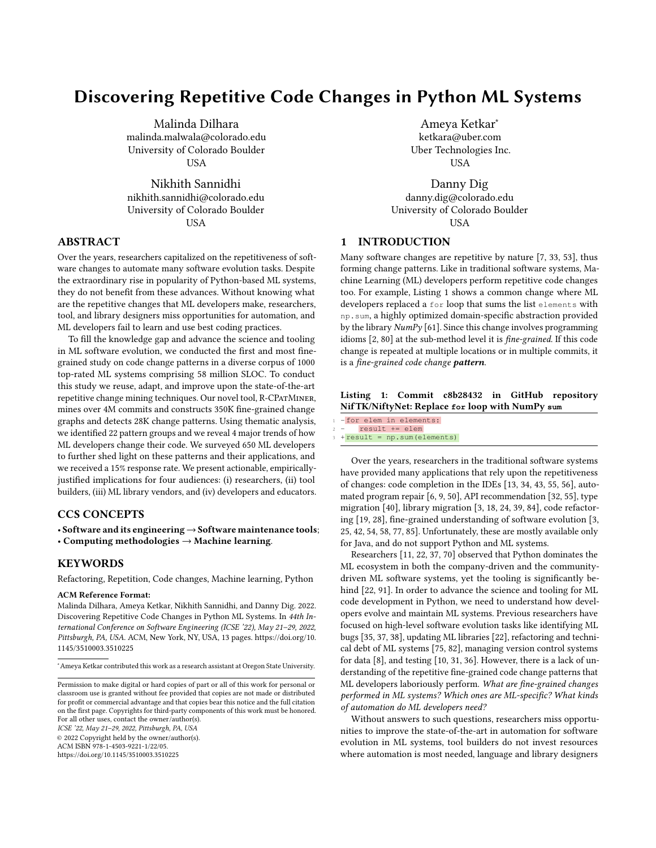# Discovering Repetitive Code Changes in Python ML Systems

Malinda Dilhara malinda.malwala@colorado.edu University of Colorado Boulder **USA** 

Nikhith Sannidhi nikhith.sannidhi@colorado.edu University of Colorado Boulder USA

# ABSTRACT

Over the years, researchers capitalized on the repetitiveness of software changes to automate many software evolution tasks. Despite the extraordinary rise in popularity of Python-based ML systems, they do not benefit from these advances. Without knowing what are the repetitive changes that ML developers make, researchers, tool, and library designers miss opportunities for automation, and ML developers fail to learn and use best coding practices.

To fill the knowledge gap and advance the science and tooling in ML software evolution, we conducted the first and most finegrained study on code change patterns in a diverse corpus of 1000 top-rated ML systems comprising 58 million SLOC. To conduct this study we reuse, adapt, and improve upon the state-of-the-art repetitive change mining techniques. Our novel tool, R-CPatMiner, mines over 4M commits and constructs 350K fine-grained change graphs and detects 28K change patterns. Using thematic analysis, we identified 22 pattern groups and we reveal 4 major trends of how ML developers change their code. We surveyed 650 ML developers to further shed light on these patterns and their applications, and we received a 15% response rate. We present actionable, empiricallyjustified implications for four audiences: (i) researchers, (ii) tool builders, (iii) ML library vendors, and (iv) developers and educators.

## CCS CONCEPTS

• Software and its engineering→Software maintenance tools; • Computing methodologies  $\rightarrow$  Machine learning.

## KEYWORDS

Refactoring, Repetition, Code changes, Machine learning, Python

#### ACM Reference Format:

Malinda Dilhara, Ameya Ketkar, Nikhith Sannidhi, and Danny Dig. 2022. Discovering Repetitive Code Changes in Python ML Systems. In 44th International Conference on Software Engineering (ICSE '22), May 21–29, 2022, Pittsburgh, PA, USA. ACM, New York, NY, USA, [13](#page-12-0) pages. [https://doi.org/10.](https://doi.org/10.1145/3510003.3510225) [1145/3510003.3510225](https://doi.org/10.1145/3510003.3510225)

ICSE '22, May 21–29, 2022, Pittsburgh, PA, USA

© 2022 Copyright held by the owner/author(s).

ACM ISBN 978-1-4503-9221-1/22/05.

<https://doi.org/10.1145/3510003.3510225>

Ameya Ketkar<sup>∗</sup> ketkara@uber.com Uber Technologies Inc. USA

Danny Dig danny.dig@colorado.edu University of Colorado Boulder USA

# 1 INTRODUCTION

Many software changes are repetitive by nature [\[7,](#page-11-0) [33,](#page-11-1) [53\]](#page-12-1), thus forming change patterns. Like in traditional software systems, Machine Learning (ML) developers perform repetitive code changes too. For example, Listing [1](#page-0-0) shows a common change where ML developers replaced a for loop that sums the list elements with np.sum, a highly optimized domain-specific abstraction provided by the library  $NumPy$  [\[61\]](#page-12-2). Since this change involves programming idioms [\[2,](#page-11-2) [80\]](#page-12-3) at the sub-method level it is fine-grained. If this code change is repeated at multiple locations or in multiple commits, it is a fine-grained code change pattern.

<span id="page-0-0"></span>

|  |                                                 |  | Listing 1: Commit c8b28432 in GitHub repository |
|--|-------------------------------------------------|--|-------------------------------------------------|
|  | NifTK/NiftyNet: Replace for loop with NumPy sum |  |                                                 |

|  |  | 1 - for elem in elements:       |  |  |
|--|--|---------------------------------|--|--|
|  |  | $2 -$ result $+=$ elem          |  |  |
|  |  | $3 + result = np.sum(elements)$ |  |  |

Over the years, researchers in the traditional software systems have provided many applications that rely upon the repetitiveness of changes: code completion in the IDEs [\[13,](#page-11-3) [34,](#page-11-4) [43,](#page-11-5) [55,](#page-12-4) [56\]](#page-12-5), automated program repair [\[6,](#page-11-6) [9,](#page-11-7) [50\]](#page-12-6), API recommendation [\[32,](#page-11-8) [55\]](#page-12-4), type migration [\[40\]](#page-11-9), library migration [\[3,](#page-11-10) [18,](#page-11-11) [24,](#page-11-12) [39,](#page-11-13) [84\]](#page-12-7), code refactoring [\[19,](#page-11-14) [28\]](#page-11-15), fine-grained understanding of software evolution [\[3,](#page-11-10) [25,](#page-11-16) [42,](#page-11-17) [54,](#page-12-8) [58,](#page-12-9) [77,](#page-12-10) [85\]](#page-12-11). Unfortunately, these are mostly available only for Java, and do not support Python and ML systems.

Researchers [\[11,](#page-11-18) [22,](#page-11-19) [37,](#page-11-20) [70\]](#page-12-12) observed that Python dominates the ML ecosystem in both the company-driven and the communitydriven ML software systems, yet the tooling is significantly behind [\[22,](#page-11-19) [91\]](#page-12-13). In order to advance the science and tooling for ML code development in Python, we need to understand how developers evolve and maintain ML systems. Previous researchers have focused on high-level software evolution tasks like identifying ML bugs [\[35,](#page-11-21) [37,](#page-11-20) [38\]](#page-11-22), updating ML libraries [\[22\]](#page-11-19), refactoring and technical debt of ML systems [\[75,](#page-12-14) [82\]](#page-12-15), managing version control systems for data [\[8\]](#page-11-23), and testing [\[10,](#page-11-24) [31,](#page-11-25) [36\]](#page-11-26). However, there is a lack of understanding of the repetitive fine-grained code change patterns that ML developers laboriously perform. What are fine-grained changes performed in ML systems? Which ones are ML-specific? What kinds of automation do ML developers need?

Without answers to such questions, researchers miss opportunities to improve the state-of-the-art in automation for software evolution in ML systems, tool builders do not invest resources where automation is most needed, language and library designers

<sup>∗</sup>Ameya Ketkar contributed this work as a research assistant at Oregon State University.

Permission to make digital or hard copies of part or all of this work for personal or classroom use is granted without fee provided that copies are not made or distributed for profit or commercial advantage and that copies bear this notice and the full citation on the first page. Copyrights for third-party components of this work must be honored. For all other uses, contact the owner/author(s).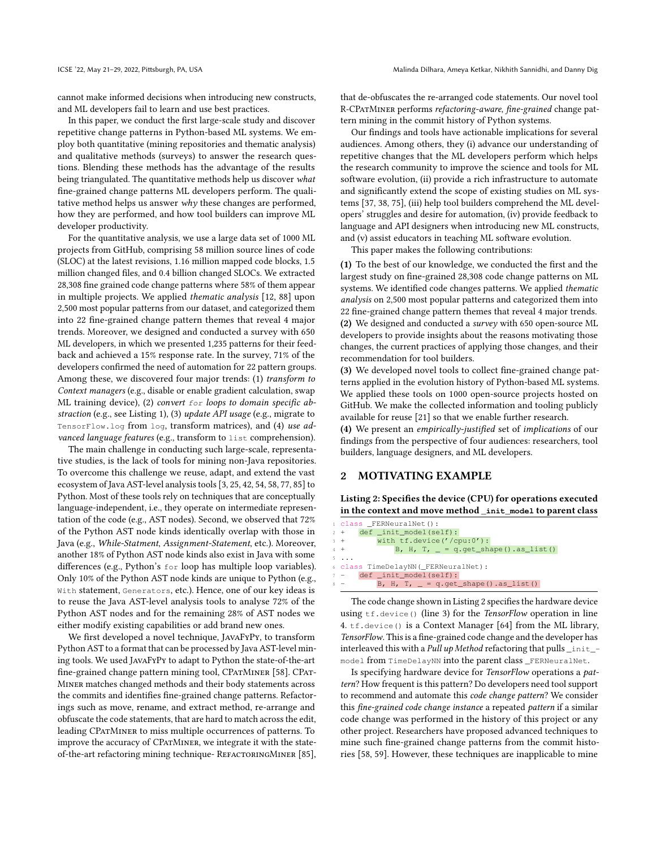cannot make informed decisions when introducing new constructs, and ML developers fail to learn and use best practices.

In this paper, we conduct the first large-scale study and discover repetitive change patterns in Python-based ML systems. We employ both quantitative (mining repositories and thematic analysis) and qualitative methods (surveys) to answer the research questions. Blending these methods has the advantage of the results being triangulated. The quantitative methods help us discover what fine-grained change patterns ML developers perform. The qualitative method helps us answer why these changes are performed, how they are performed, and how tool builders can improve ML developer productivity.

For the quantitative analysis, we use a large data set of 1000 ML projects from GitHub, comprising 58 million source lines of code (SLOC) at the latest revisions, 1.16 million mapped code blocks, 1.5 million changed files, and 0.4 billion changed SLOCs. We extracted 28,308 fine grained code change patterns where 58% of them appear in multiple projects. We applied thematic analysis [\[12,](#page-11-27) [88\]](#page-12-16) upon 2,500 most popular patterns from our dataset, and categorized them into 22 fine-grained change pattern themes that reveal 4 major trends. Moreover, we designed and conducted a survey with 650 ML developers, in which we presented 1,235 patterns for their feedback and achieved a 15% response rate. In the survey, 71% of the developers confirmed the need of automation for 22 pattern groups. Among these, we discovered four major trends: (1) transform to Context managers (e.g., disable or enable gradient calculation, swap ML training device), (2) convert  $for$  loops to domain specific abstraction (e.g., see Listing [1\)](#page-0-0), (3) update API usage (e.g., migrate to TensorFlow.log from log, transform matrices), and (4) use advanced language features (e.g., transform to list comprehension).

The main challenge in conducting such large-scale, representative studies, is the lack of tools for mining non-Java repositories. To overcome this challenge we reuse, adapt, and extend the vast ecosystem of Java AST-level analysis tools [\[3,](#page-11-10) [25,](#page-11-16) [42,](#page-11-17) [54,](#page-12-8) [58,](#page-12-9) [77,](#page-12-10) [85\]](#page-12-11) to Python. Most of these tools rely on techniques that are conceptually language-independent, i.e., they operate on intermediate representation of the code (e.g., AST nodes). Second, we observed that 72% of the Python AST node kinds identically overlap with those in Java (e.g., While-Statment, Assignment-Statement, etc.). Moreover, another 18% of Python AST node kinds also exist in Java with some differences (e.g., Python's for loop has multiple loop variables). Only 10% of the Python AST node kinds are unique to Python (e.g., With statement, Generators, etc.). Hence, one of our key ideas is to reuse the Java AST-level analysis tools to analyse 72% of the Python AST nodes and for the remaining 28% of AST nodes we either modify existing capabilities or add brand new ones.

We first developed a novel technique, JavaFyPy, to transform Python AST to a format that can be processed by Java AST-level mining tools. We used JavaFyPy to adapt to Python the state-of-the-art fine-grained change pattern mining tool, CPATMINER [\[58\]](#page-12-9). CPAT-Miner matches changed methods and their body statements across the commits and identifies fine-grained change patterns. Refactorings such as move, rename, and extract method, re-arrange and obfuscate the code statements, that are hard to match across the edit, leading CPatMiner to miss multiple occurrences of patterns. To improve the accuracy of CPatMiner, we integrate it with the state-of-the-art refactoring mining technique- REFACTORINGMINER [\[85\]](#page-12-11),

that de-obfuscates the re-arranged code statements. Our novel tool R-CPatMiner performs refactoring-aware, fine-grained change pattern mining in the commit history of Python systems.

Our findings and tools have actionable implications for several audiences. Among others, they (i) advance our understanding of repetitive changes that the ML developers perform which helps the research community to improve the science and tools for ML software evolution, (ii) provide a rich infrastructure to automate and significantly extend the scope of existing studies on ML systems [\[37,](#page-11-20) [38,](#page-11-22) [75\]](#page-12-14), (iii) help tool builders comprehend the ML developers' struggles and desire for automation, (iv) provide feedback to language and API designers when introducing new ML constructs, and (v) assist educators in teaching ML software evolution.

This paper makes the following contributions:

(1) To the best of our knowledge, we conducted the first and the largest study on fine-grained 28,308 code change patterns on ML systems. We identified code changes patterns. We applied thematic analysis on 2,500 most popular patterns and categorized them into 22 fine-grained change pattern themes that reveal 4 major trends. (2) We designed and conducted a survey with 650 open-source ML developers to provide insights about the reasons motivating those changes, the current practices of applying those changes, and their recommendation for tool builders.

(3) We developed novel tools to collect fine-grained change patterns applied in the evolution history of Python-based ML systems. We applied these tools on 1000 open-source projects hosted on GitHub. We make the collected information and tooling publicly available for reuse [\[21\]](#page-11-28) so that we enable further research.

(4) We present an empirically-justified set of implications of our findings from the perspective of four audiences: researchers, tool builders, language designers, and ML developers.

# <span id="page-1-1"></span>2 MOTIVATING EXAMPLE

<span id="page-1-0"></span>Listing 2: Specifies the device (CPU) for operations executed in the context and move method **\_init\_model** to parent class

| d class FERNeuralNet():                                     |
|-------------------------------------------------------------|
| $2 +$ def _init_model(self):                                |
| with $tf.device('/cpu:0')$ :<br>$3 +$                       |
| B, H, T, $= q \cdot qet\_shape() \cdot as\_list()$<br>$4 +$ |
| $5 \ldots$                                                  |
| 6 class TimeDelayNN ( FERNeuralNet):                        |
| $7 -$ def init model(self):                                 |
| $8 -$<br>B, H, T, $= q.get\_shape()$ .as $list()$           |

The code change shown in Listing [2](#page-1-0) specifies the hardware device using  $tf.\text{device}()$  (line 3) for the TensorFlow operation in line 4. tf.device() is a Context Manager [\[64\]](#page-12-17) from the ML library, TensorFlow. This is a fine-grained code change and the developer has interleaved this with a Pull up Method refactoring that pulls  $\verb|__init__|$ model from TimeDelayNN into the parent class \_FERNeuralNet.

Is specifying hardware device for TensorFlow operations a pattern? How frequent is this pattern? Do developers need tool support to recommend and automate this code change pattern? We consider this fine-grained code change instance a repeated pattern if a similar code change was performed in the history of this project or any other project. Researchers have proposed advanced techniques to mine such fine-grained change patterns from the commit histories [\[58,](#page-12-9) [59\]](#page-12-18). However, these techniques are inapplicable to mine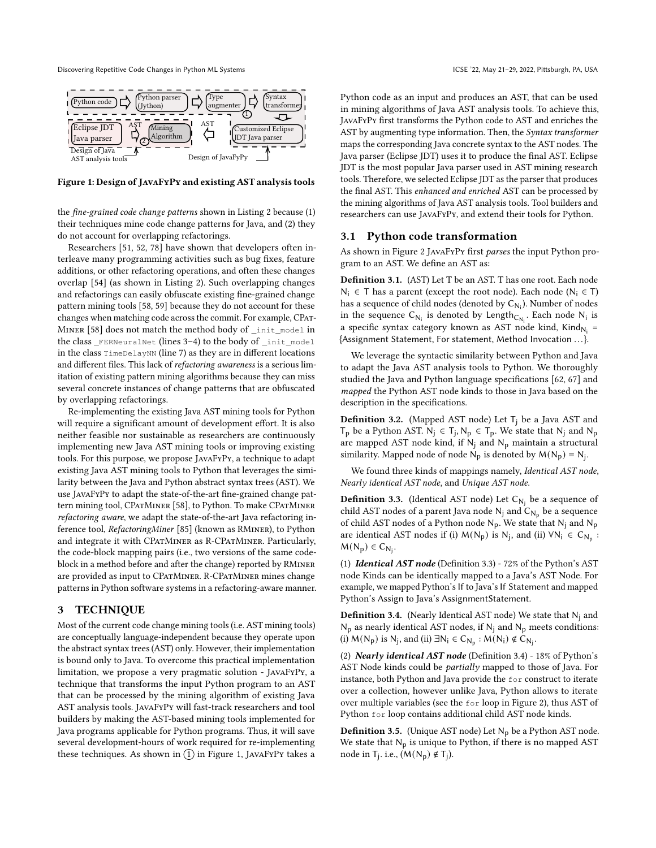Discovering Repetitive Code Changes in Python ML Systems ICSE '22, May 21-29, 2022, Pittsburgh, PA, USA

<span id="page-2-0"></span>

Figure 1: Design of JavaFyPy and existing AST analysis tools

the fine-grained code change patterns shown in Listing [2](#page-1-0) because (1) their techniques mine code change patterns for Java, and (2) they do not account for overlapping refactorings.

Researchers [\[51,](#page-12-19) [52,](#page-12-20) [78\]](#page-12-21) have shown that developers often interleave many programming activities such as bug fixes, feature additions, or other refactoring operations, and often these changes overlap [\[54\]](#page-12-8) (as shown in Listing [2\)](#page-1-0). Such overlapping changes and refactorings can easily obfuscate existing fine-grained change pattern mining tools [\[58,](#page-12-9) [59\]](#page-12-18) because they do not account for these changes when matching code across the commit. For example, CPat-Miner [\[58\]](#page-12-9) does not match the method body of \_init\_model in the class \_FERNeuralNet (lines 3–4) to the body of \_init\_model in the class TimeDelayNN (line 7) as they are in different locations and different files. This lack of refactoring awareness is a serious limitation of existing pattern mining algorithms because they can miss several concrete instances of change patterns that are obfuscated by overlapping refactorings.

Re-implementing the existing Java AST mining tools for Python will require a significant amount of development effort. It is also neither feasible nor sustainable as researchers are continuously implementing new Java AST mining tools or improving existing tools. For this purpose, we propose JavaFyPy, a technique to adapt existing Java AST mining tools to Python that leverages the similarity between the Java and Python abstract syntax trees (AST). We use JavaFyPy to adapt the state-of-the-art fine-grained change pattern mining tool, CPatMiner [\[58\]](#page-12-9), to Python. To make CPatMiner refactoring aware, we adapt the state-of-the-art Java refactoring inference tool, RefactoringMiner [\[85\]](#page-12-11) (known as RMiner), to Python and integrate it with CPatMiner as R-CPatMiner. Particularly, the code-block mapping pairs (i.e., two versions of the same codeblock in a method before and after the change) reported by RMiner are provided as input to CPatMiner. R-CPatMiner mines change patterns in Python software systems in a refactoring-aware manner.

#### 3 TECHNIQUE

Most of the current code change mining tools (i.e. AST mining tools) are conceptually language-independent because they operate upon the abstract syntax trees (AST) only. However, their implementation is bound only to Java. To overcome this practical implementation limitation, we propose a very pragmatic solution - JavaFyPy, a technique that transforms the input Python program to an AST that can be processed by the mining algorithm of existing Java AST analysis tools. JavaFyPy will fast-track researchers and tool builders by making the AST-based mining tools implemented for Java programs applicable for Python programs. Thus, it will save several development-hours of work required for re-implementing these techniques. As shown in  $(1)$  in Figure [1,](#page-2-0) JAVAFYPY takes a

Python code as an input and produces an AST, that can be used in mining algorithms of Java AST analysis tools. To achieve this, JavaFyPy first transforms the Python code to AST and enriches the AST by augmenting type information. Then, the Syntax transformer maps the corresponding Java concrete syntax to the AST nodes. The Java parser (Eclipse JDT) uses it to produce the final AST. Eclipse JDT is the most popular Java parser used in AST mining research tools. Therefore, we selected Eclipse JDT as the parser that produces the final AST. This enhanced and enriched AST can be processed by the mining algorithms of Java AST analysis tools. Tool builders and researchers can use JavaFyPy, and extend their tools for Python.

#### 3.1 Python code transformation

As shown in Figure [2](#page-3-0) JavaFyPy first parses the input Python program to an AST. We define an AST as:

Definition 3.1. (AST) Let T be an AST. T has one root. Each node N<sub>i</sub> ∈ T has a parent (except the root node). Each node (N<sub>i</sub> ∈ T) has a sequence of child nodes (denoted by  $\mathsf{C}_{\mathsf{N_i}}$ ). Number of nodes in the sequence  $C_{N_i}$  is denoted by Length<sub>C<sub>N<sub>i</sub></sub>. Each node N<sub>i</sub> is</sub> a specific syntax category known as AST node kind,  $\mathsf{Kind}_{\mathsf{N_i}} =$ {Assignment Statement, For statement, Method Invocation . . .}.

We leverage the syntactic similarity between Python and Java to adapt the Java AST analysis tools to Python. We thoroughly studied the Java and Python language specifications [\[62,](#page-12-22) [67\]](#page-12-23) and mapped the Python AST node kinds to those in Java based on the description in the specifications.

**Definition 3.2.** (Mapped AST node) Let  $T_i$  be a Java AST and  $T_p$  be a Python AST.  $N_j \in T_j$ ,  $N_p \in T_p$ . We state that  $N_j$  and  $N_p$ are mapped AST node kind, if  $N_i$  and  $N_p$  maintain a structural similarity. Mapped node of node  $N_p$  is denoted by  $M(N_p) = N_j$ .

We found three kinds of mappings namely, Identical AST node, Nearly identical AST node, and Unique AST node.

<span id="page-2-1"></span>**Definition 3.3.** (Identical AST node) Let  $C_{N_j}$  be a sequence of child AST nodes of a parent Java node  $\mathsf{N}_{\mathsf{j}}$  and  $\mathsf{C}_{\mathsf{N}_{\mathsf{p}}}$  be a sequence of child AST nodes of a Python node  $N_p$ . We state that  $N_j$  and  $N_p$ are identical AST nodes if (i)  $M(N_p)$  is  $N_j$ , and (ii)  $\forall N_i \in C_{N_p}$ :  $M(N_p) \in C_{N_j}.$ 

(1) Identical AST node (Definition [3.3\)](#page-2-1) - 72% of the Python's AST node Kinds can be identically mapped to a Java's AST Node. For example, we mapped Python's If to Java's If Statement and mapped Python's Assign to Java's AssignmentStatement.

<span id="page-2-2"></span>**Definition 3.4.** (Nearly Identical AST node) We state that  $N_i$  and  $N_p$  as nearly identical AST nodes, if  $N_i$  and  $N_p$  meets conditions: (i)  $M(N_p)$  is  $N_j$ , and (ii)  $\exists N_i \in C_{N_p} : M(N_i) \notin C_{N_j}$ .

(2) Nearly identical AST node (Definition [3.4\)](#page-2-2) - 18% of Python's AST Node kinds could be partially mapped to those of Java. For instance, both Python and Java provide the for construct to iterate over a collection, however unlike Java, Python allows to iterate over multiple variables (see the for loop in Figure [2\)](#page-3-0), thus AST of Python for loop contains additional child AST node kinds.

**Definition 3.5.** (Unique AST node) Let  $N_p$  be a Python AST node. We state that  $N_p$  is unique to Python, if there is no mapped AST node in T<sub>j</sub>. i.e.,  $(M(N_p) \notin T_j)$ .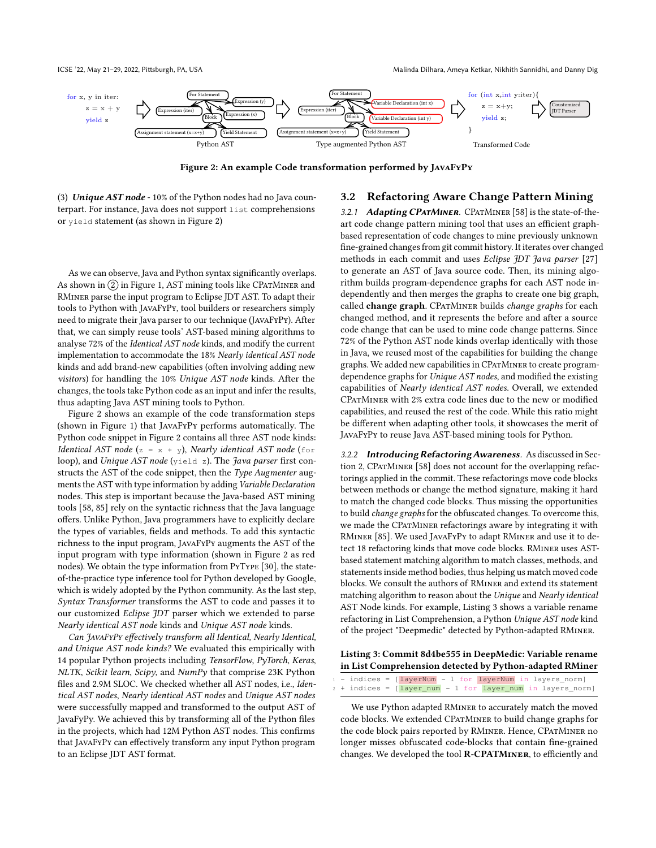ICSE '22, May 21–29, 2022, Pittsburgh, PA, USA Malinda Dilhara, Ameya Ketkar, Nikhith Sannidhi, and Danny Dig

<span id="page-3-0"></span>

Figure 2: An example Code transformation performed by JavaFyPy

(3) Unique  $AST$  node - 10% of the Python nodes had no Java counterpart. For instance, Java does not support list comprehensions or yield statement (as shown in Figure [2\)](#page-3-0)

As we can observe, Java and Python syntax significantly overlaps. As shown in  $(2)$  in Figure [1,](#page-2-0) AST mining tools like CPATMINER and RMiner parse the input program to Eclipse JDT AST. To adapt their tools to Python with JavaFyPy, tool builders or researchers simply need to migrate their Java parser to our technique (JavaFyPy). After that, we can simply reuse tools' AST-based mining algorithms to analyse 72% of the Identical AST node kinds, and modify the current implementation to accommodate the 18% Nearly identical AST node kinds and add brand-new capabilities (often involving adding new visitors) for handling the 10% Unique AST node kinds. After the changes, the tools take Python code as an input and infer the results, thus adapting Java AST mining tools to Python.

Figure [2](#page-3-0) shows an example of the code transformation steps (shown in Figure [1\)](#page-2-0) that JavaFyPy performs automatically. The Python code snippet in Figure [2](#page-3-0) contains all three AST node kinds: Identical AST node (z =  $x + y$ ), Nearly identical AST node (for loop), and Unique AST node (yield z). The Java parser first constructs the AST of the code snippet, then the Type Augmenter augments the AST with type information by adding Variable Declaration nodes. This step is important because the Java-based AST mining tools [\[58,](#page-12-9) [85\]](#page-12-11) rely on the syntactic richness that the Java language offers. Unlike Python, Java programmers have to explicitly declare the types of variables, fields and methods. To add this syntactic richness to the input program, JavaFyPy augments the AST of the input program with type information (shown in Figure [2](#page-3-0) as red nodes). We obtain the type information from PyType [\[30\]](#page-11-29), the stateof-the-practice type inference tool for Python developed by Google, which is widely adopted by the Python community. As the last step, Syntax Transformer transforms the AST to code and passes it to our customized Eclipse JDT parser which we extended to parse Nearly identical AST node kinds and Unique AST node kinds.

Can JavaFyPy effectively transform all Identical, Nearly Identical, and Unique AST node kinds? We evaluated this empirically with 14 popular Python projects including TensorFlow, PyTorch, Keras, NLTK, Scikit learn, Scipy, and NumPy that comprise 23K Python files and 2.9M SLOC. We checked whether all AST nodes, i.e., Identical AST nodes, Nearly identical AST nodes and Unique AST nodes were successfully mapped and transformed to the output AST of JavaFyPy. We achieved this by transforming all of the Python files in the projects, which had 12M Python AST nodes. This confirms that JavaFyPy can effectively transform any input Python program to an Eclipse JDT AST format.

#### 3.2 Refactoring Aware Change Pattern Mining

3.2.1 Adapting CPATMINER. CPATMINER [\[58\]](#page-12-9) is the state-of-theart code change pattern mining tool that uses an efficient graphbased representation of code changes to mine previously unknown fine-grained changes from git commit history. It iterates over changed methods in each commit and uses Eclipse JDT Java parser [\[27\]](#page-11-30) to generate an AST of Java source code. Then, its mining algorithm builds program-dependence graphs for each AST node independently and then merges the graphs to create one big graph, called change graph. CPATMINER builds change graphs for each changed method, and it represents the before and after a source code change that can be used to mine code change patterns. Since 72% of the Python AST node kinds overlap identically with those in Java, we reused most of the capabilities for building the change graphs. We added new capabilities in CPatMiner to create programdependence graphs for Unique AST nodes, and modified the existing capabilities of Nearly identical AST nodes. Overall, we extended CPatMiner with 2% extra code lines due to the new or modified capabilities, and reused the rest of the code. While this ratio might be different when adapting other tools, it showcases the merit of JavaFyPy to reuse Java AST-based mining tools for Python.

3.2.2 Introducing Refactoring Awareness. As discussed in Sec-tion [2,](#page-1-1) CPATMINER [\[58\]](#page-12-9) does not account for the overlapping refactorings applied in the commit. These refactorings move code blocks between methods or change the method signature, making it hard to match the changed code blocks. Thus missing the opportunities to build change graphs for the obfuscated changes. To overcome this, we made the CPatMiner refactorings aware by integrating it with RMiner [\[85\]](#page-12-11). We used JavaFyPy to adapt RMiner and use it to detect 18 refactoring kinds that move code blocks. RMiner uses ASTbased statement matching algorithm to match classes, methods, and statements inside method bodies, thus helping us match moved code blocks. We consult the authors of RMiner and extend its statement matching algorithm to reason about the Unique and Nearly identical AST Node kinds. For example, Listing [3](#page-3-1) shows a variable rename refactoring in List Comprehension, a Python Unique AST node kind of the project "Deepmedic" detected by Python-adapted RMiner.

#### <span id="page-3-1"></span>Listing 3: Commit 8d4be555 in DeepMedic: Variable rename in List Comprehension detected by Python-adapted RMiner

|  |  | $1 -$ indices = $[layerNum - 1 for layerNum in layers_norm]$     |  |  |  |  |
|--|--|------------------------------------------------------------------|--|--|--|--|
|  |  | $2 +$ indices = $[layer_name - 1 for layer_name in layers_norm]$ |  |  |  |  |

We use Python adapted RMiner to accurately match the moved code blocks. We extended CPatMiner to build change graphs for the code block pairs reported by RMINER. Hence, CPATMINER no longer misses obfuscated code-blocks that contain fine-grained changes. We developed the tool R-CPATMINER, to efficiently and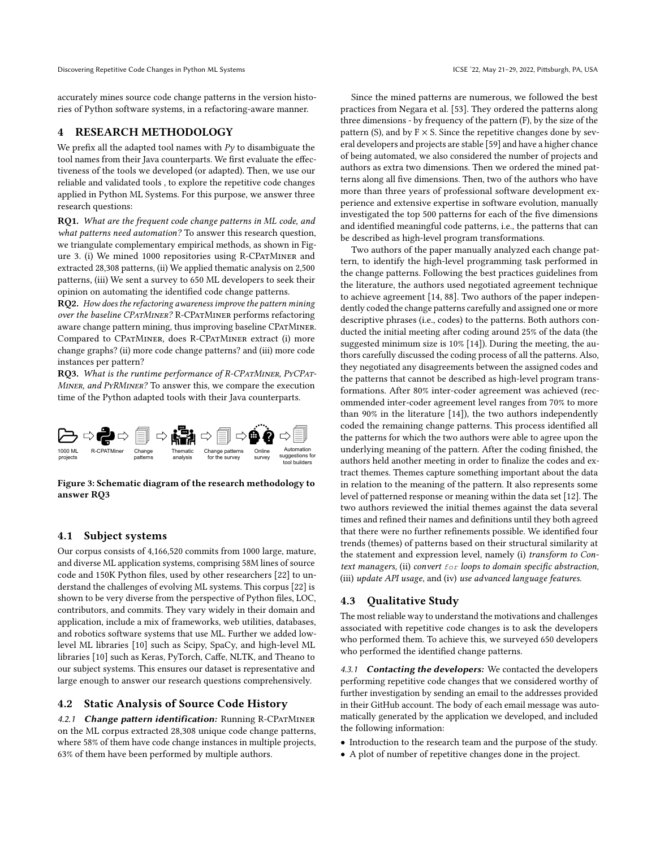accurately mines source code change patterns in the version histories of Python software systems, in a refactoring-aware manner.

# 4 RESEARCH METHODOLOGY

We prefix all the adapted tool names with  $Py$  to disambiguate the tool names from their Java counterparts. We first evaluate the effectiveness of the tools we developed (or adapted). Then, we use our reliable and validated tools , to explore the repetitive code changes applied in Python ML Systems. For this purpose, we answer three research questions:

RQ1. What are the frequent code change patterns in ML code, and what patterns need automation? To answer this research question, we triangulate complementary empirical methods, as shown in Fig-ure [3.](#page-4-0) (i) We mined 1000 repositories using R-CPATMINER and extracted 28,308 patterns, (ii) We applied thematic analysis on 2,500 patterns, (iii) We sent a survey to 650 ML developers to seek their opinion on automating the identified code change patterns.

RQ2. How does the refactoring awareness improve the pattern mining over the baseline CPatMiner? R-CPatMiner performs refactoring aware change pattern mining, thus improving baseline CPatMiner. Compared to CPatMiner, does R-CPatMiner extract (i) more change graphs? (ii) more code change patterns? and (iii) more code instances per pattern?

RQ3. What is the runtime performance of R-CPATMINER, PYCPAT-Miner, and PyRMiner? To answer this, we compare the execution time of the Python adapted tools with their Java counterparts.

<span id="page-4-0"></span>

Figure 3: Schematic diagram of the research methodology to answer RQ3

# <span id="page-4-1"></span>4.1 Subject systems

Our corpus consists of 4,166,520 commits from 1000 large, mature, and diverse ML application systems, comprising 58M lines of source code and 150K Python files, used by other researchers [\[22\]](#page-11-19) to understand the challenges of evolving ML systems. This corpus [\[22\]](#page-11-19) is shown to be very diverse from the perspective of Python files, LOC, contributors, and commits. They vary widely in their domain and application, include a mix of frameworks, web utilities, databases, and robotics software systems that use ML. Further we added lowlevel ML libraries [\[10\]](#page-11-24) such as Scipy, SpaCy, and high-level ML libraries [\[10\]](#page-11-24) such as Keras, PyTorch, Caffe, NLTK, and Theano to our subject systems. This ensures our dataset is representative and large enough to answer our research questions comprehensively.

# 4.2 Static Analysis of Source Code History

4.2.1 Change pattern identification: Running R-CPATMINER on the ML corpus extracted 28,308 unique code change patterns, where 58% of them have code change instances in multiple projects, 63% of them have been performed by multiple authors.

Since the mined patterns are numerous, we followed the best practices from Negara et al. [\[53\]](#page-12-1). They ordered the patterns along three dimensions - by frequency of the pattern (F), by the size of the pattern (S), and by  $F \times S$ . Since the repetitive changes done by several developers and projects are stable [\[59\]](#page-12-18) and have a higher chance of being automated, we also considered the number of projects and authors as extra two dimensions. Then we ordered the mined patterns along all five dimensions. Then, two of the authors who have more than three years of professional software development experience and extensive expertise in software evolution, manually investigated the top 500 patterns for each of the five dimensions and identified meaningful code patterns, i.e., the patterns that can be described as high-level program transformations.

Two authors of the paper manually analyzed each change pattern, to identify the high-level programming task performed in the change patterns. Following the best practices guidelines from the literature, the authors used negotiated agreement technique to achieve agreement [\[14,](#page-11-31) [88\]](#page-12-16). Two authors of the paper independently coded the change patterns carefully and assigned one or more descriptive phrases (i.e., codes) to the patterns. Both authors conducted the initial meeting after coding around 25% of the data (the suggested minimum size is 10% [\[14\]](#page-11-31)). During the meeting, the authors carefully discussed the coding process of all the patterns. Also, they negotiated any disagreements between the assigned codes and the patterns that cannot be described as high-level program transformations. After 80% inter-coder agreement was achieved (recommended inter-coder agreement level ranges from 70% to more than 90% in the literature [\[14\]](#page-11-31)), the two authors independently coded the remaining change patterns. This process identified all the patterns for which the two authors were able to agree upon the underlying meaning of the pattern. After the coding finished, the authors held another meeting in order to finalize the codes and extract themes. Themes capture something important about the data in relation to the meaning of the pattern. It also represents some level of patterned response or meaning within the data set [\[12\]](#page-11-27). The two authors reviewed the initial themes against the data several times and refined their names and definitions until they both agreed that there were no further refinements possible. We identified four trends (themes) of patterns based on their structural similarity at the statement and expression level, namely (i) transform to Context managers, (ii) convert for loops to domain specific abstraction, (iii) update API usage, and (iv) use advanced language features.

#### 4.3 Qualitative Study

The most reliable way to understand the motivations and challenges associated with repetitive code changes is to ask the developers who performed them. To achieve this, we surveyed 650 developers who performed the identified change patterns.

4.3.1 Contacting the developers: We contacted the developers performing repetitive code changes that we considered worthy of further investigation by sending an email to the addresses provided in their GitHub account. The body of each email message was automatically generated by the application we developed, and included the following information:

- Introduction to the research team and the purpose of the study.
- A plot of number of repetitive changes done in the project.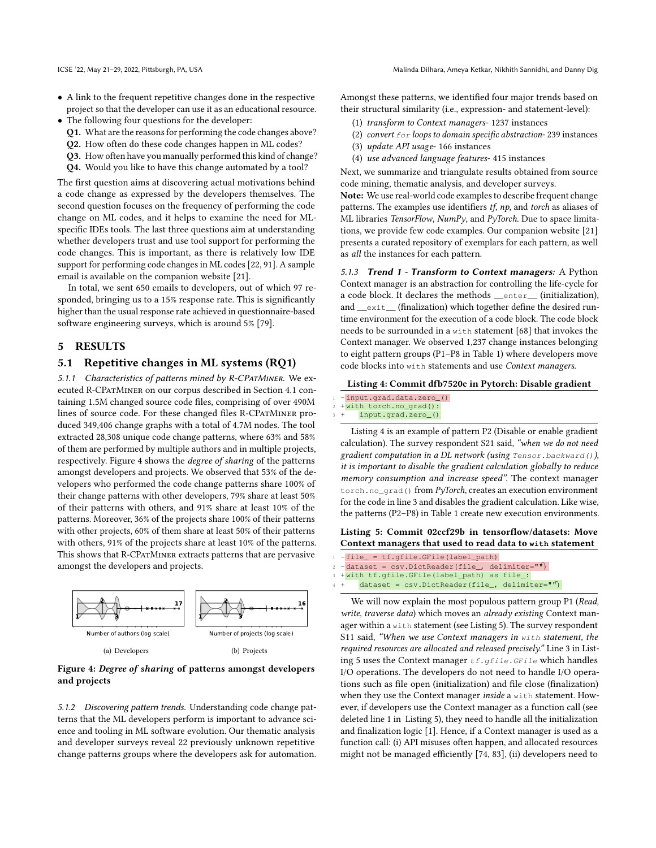- A link to the frequent repetitive changes done in the respective project so that the developer can use it as an educational resource.
- The following four questions for the developer:
	- Q1. What are the reasons for performing the code changes above?
	- Q2. How often do these code changes happen in ML codes?
	- Q3. How often have you manually performed this kind of change?
	- Q4. Would you like to have this change automated by a tool?

The first question aims at discovering actual motivations behind a code change as expressed by the developers themselves. The second question focuses on the frequency of performing the code change on ML codes, and it helps to examine the need for MLspecific IDEs tools. The last three questions aim at understanding whether developers trust and use tool support for performing the code changes. This is important, as there is relatively low IDE support for performing code changes in ML codes [\[22,](#page-11-19) [91\]](#page-12-13). A sample email is available on the companion website [\[21\]](#page-11-28).

In total, we sent 650 emails to developers, out of which 97 responded, bringing us to a 15% response rate. This is significantly higher than the usual response rate achieved in questionnaire-based software engineering surveys, which is around 5% [\[79\]](#page-12-24).

# 5 RESULTS

#### 5.1 Repetitive changes in ML systems (RQ1)

5.1.1 Characteristics of patterns mined by R-CPATMINER. We executed R-CPatMiner on our corpus described in Section [4.1](#page-4-1) containing 1.5M changed source code files, comprising of over 490M lines of source code. For these changed files R-CPATMINER produced 349,406 change graphs with a total of 4.7M nodes. The tool extracted 28,308 unique code change patterns, where 63% and 58% of them are performed by multiple authors and in multiple projects, respectively. Figure [4](#page-5-0) shows the degree of sharing of the patterns amongst developers and projects. We observed that 53% of the developers who performed the code change patterns share 100% of their change patterns with other developers, 79% share at least 50% of their patterns with others, and 91% share at least 10% of the patterns. Moreover, 36% of the projects share 100% of their patterns with other projects, 60% of them share at least 50% of their patterns with others, 91% of the projects share at least 10% of the patterns. This shows that R-CPATMINER extracts patterns that are pervasive amongst the developers and projects.

<span id="page-5-0"></span>

#### Figure 4: Degree of sharing of patterns amongst developers and projects

5.1.2 Discovering pattern trends. Understanding code change patterns that the ML developers perform is important to advance science and tooling in ML software evolution. Our thematic analysis and developer surveys reveal 22 previously unknown repetitive change patterns groups where the developers ask for automation.

Amongst these patterns, we identified four major trends based on their structural similarity (i.e., expression- and statement-level):

- (1) transform to Context managers- 1237 instances
- (2) convert  $for$  loops to domain specific abstraction-239 instances
- (3) update API usage- 166 instances
- (4) use advanced language features- 415 instances

Next, we summarize and triangulate results obtained from source code mining, thematic analysis, and developer surveys.

Note: We use real-world code examples to describe frequent change patterns. The examples use identifiers tf, np, and torch as aliases of ML libraries TensorFlow, NumPy, and PyTorch. Due to space limitations, we provide few code examples. Our companion website [\[21\]](#page-11-28) presents a curated repository of exemplars for each pattern, as well as all the instances for each pattern.

5.1.3 Trend 1 - Transform to Context managers: A Python Context manager is an abstraction for controlling the life-cycle for a code block. It declares the methods \_\_enter\_\_ (initialization), and \_\_exit\_ (finalization) which together define the desired runtime environment for the execution of a code block. The code block needs to be surrounded in a with statement [\[68\]](#page-12-25) that invokes the Context manager. We observed 1,237 change instances belonging to eight pattern groups (P1–P8 in Table [1\)](#page-6-0) where developers move code blocks into with statements and use Context managers.

#### <span id="page-5-1"></span>Listing 4: Commit dfb7520c in Pytorch: Disable gradient

- -input.grad.data.zero\_()
- +with torch.no\_grad()
- input.grad.zero\_()

Listing [4](#page-5-1) is an example of pattern P2 (Disable or enable gradient calculation). The survey respondent S21 said, "when we do not need gradient computation in a DL network (using Tensor.backward()), it is important to disable the gradient calculation globally to reduce memory consumption and increase speed". The context manager torch.no\_grad() from PyTorch, creates an execution environment for the code in line 3 and disables the gradient calculation. Like wise, the patterns (P2–P8) in Table [1](#page-6-0) create new execution environments.

<span id="page-5-2"></span>Listing 5: Commit 02ccf29b in tensorflow/datasets: Move Context managers that used to read data to **with** statement

- $-file = tf.getile.GFile(label path)$
- -dataset = csv.DictReader(file\_, delimiter="")
- +with tf.gfile.GFile(label\_path) as file\_:
- $dataset = \text{csv.DictReader}(file_-, \text{ delimiter}=" \textbf{m})$

We will now explain the most populous pattern group P1 (Read, write, traverse data) which moves an already existing Context manager within a with statement (see Listing [5\)](#page-5-2). The survey respondent S11 said, "When we use Context managers in with statement, the required resources are allocated and released precisely." Line 3 in List-ing [5](#page-5-2) uses the Context manager  $tf.gfile.GFile$  which handles I/O operations. The developers do not need to handle I/O operations such as file open (initialization) and file close (finalization) when they use the Context manager inside a with statement. However, if developers use the Context manager as a function call (see deleted line 1 in Listing [5\)](#page-5-2), they need to handle all the initialization and finalization logic [\[1\]](#page-11-32). Hence, if a Context manager is used as a function call: (i) API misuses often happen, and allocated resources might not be managed efficiently [\[74,](#page-12-26) [83\]](#page-12-27), (ii) developers need to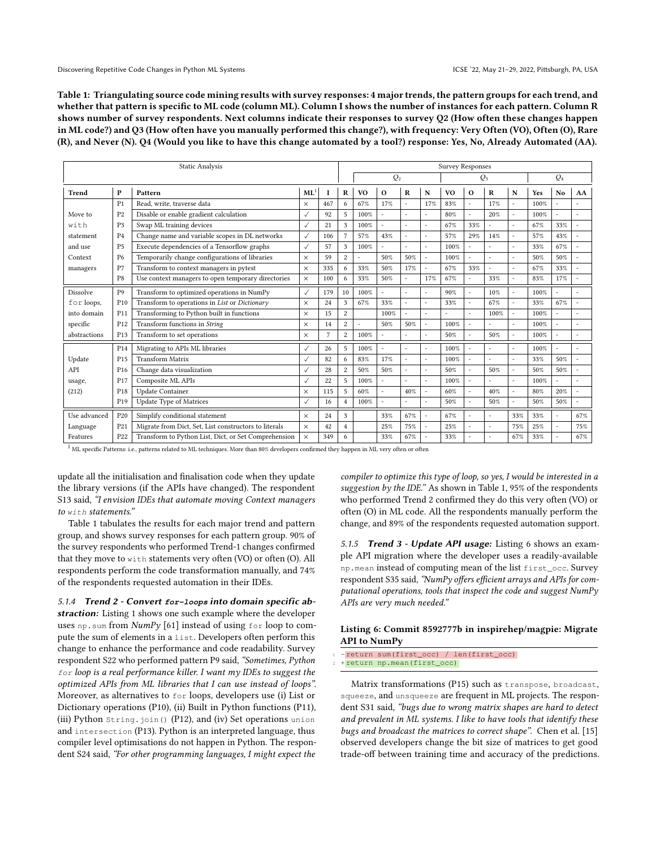<span id="page-6-0"></span>Table 1: Triangulating source code mining results with survey responses: 4 major trends, the pattern groups for each trend, and whether that pattern is specific to ML code (column ML). Column I shows the number of instances for each pattern. Column R shows number of survey respondents. Next columns indicate their responses to survey Q2 (How often these changes happen in ML code?) and Q3 (How often have you manually performed this change?), with frequency: Very Often (VO), Often (O), Rare (R), and Never (N). Q4 (Would you like to have this change automated by a tool?) response: Yes, No, Already Automated (AA).

| <b>Static Analysis</b> |                 |                                                       |                 |     |                 | <b>Survey Responses</b> |                |                      |                          |                |                       |                          |                |      |                          |                          |
|------------------------|-----------------|-------------------------------------------------------|-----------------|-----|-----------------|-------------------------|----------------|----------------------|--------------------------|----------------|-----------------------|--------------------------|----------------|------|--------------------------|--------------------------|
|                        |                 |                                                       |                 |     |                 | $Q_2$<br>$Q_3$          |                |                      |                          |                |                       | $Q_4$                    |                |      |                          |                          |
| <b>Trend</b>           | $\mathbf{P}$    | Pattern                                               | ML <sup>1</sup> |     | R               | <b>VO</b>               | $\mathbf{o}$   | $\mathbf R$          | N                        | V <sub>O</sub> | $\mathbf{o}$          | $\bf{R}$                 | N              | Yes  | No                       | AA                       |
|                        | P <sub>1</sub>  | Read, write, traverse data                            | $\times$        | 467 | 6               | 67%                     | 17%            | ÷,                   | 17%                      | 83%            |                       | 17%                      | $\overline{a}$ | 100% |                          |                          |
| Move to                | P <sub>2</sub>  | Disable or enable gradient calculation                | $\checkmark$    | 92  | 5               | 100%                    | L,             | $\ddot{\phantom{1}}$ | $\sim$                   | 80%            | $\tilde{\phantom{a}}$ | 20%                      | $\sim$         | 100% | $\overline{\phantom{a}}$ | $\overline{\phantom{a}}$ |
| with                   | P <sub>3</sub>  | Swap ML training devices                              | $\checkmark$    | 21  | 3               | 100%                    | $\overline{a}$ | ٠                    |                          | 67%            | 33%                   |                          | $\overline{a}$ | 67%  | 33%                      |                          |
| statement              | P <sub>4</sub>  | Change name and variable scopes in DL networks        | $\checkmark$    | 106 | $7\phantom{.0}$ | 57%                     | 43%            | ÷                    |                          | 57%            | 29%                   | 14%                      | $\overline{a}$ | 57%  | 43%                      |                          |
| and use                | <b>P5</b>       | Execute dependencies of a Tensorflow graphs           | $\checkmark$    | 57  | 3               | 100%                    | L,             | ٠                    |                          | 100%           |                       |                          | $\sim$         | 33%  | 67%                      |                          |
| Context                | <b>P6</b>       | Temporarily change configurations of libraries        | $\times$        | 59  | $\overline{c}$  |                         | 50%            | 50%                  | $\sim$                   | 100%           |                       |                          | $\overline{a}$ | 50%  | 50%                      |                          |
| managers               | P7              | Transform to context managers in pytest               | $\times$        | 335 | 6               | 33%                     | 50%            | 17%                  | $\overline{\phantom{a}}$ | 67%            | 33%                   | $\overline{\phantom{a}}$ | $\sim$         | 67%  | 33%                      |                          |
|                        | P8              | Use context managers to open temporary directories    | $\times$        | 100 | 6               | 33%                     | 50%            |                      | 17%                      | 67%            |                       | 33%                      |                | 83%  | 17%                      |                          |
| <b>Dissolve</b>        | P <sub>9</sub>  | Transform to optimized operations in NumPy            | $\checkmark$    | 179 | 10              | 100%                    | L.             |                      |                          | 90%            |                       | 10%                      | $\overline{a}$ | 100% |                          |                          |
| for loops,             | P <sub>10</sub> | Transform to operations in List or Dictionary         | $\times$        | 24  | 3               | 67%                     | 33%            |                      |                          | 33%            |                       | 67%                      | ÷.             | 33%  | 67%                      | $\overline{a}$           |
| into domain            | P <sub>11</sub> | Transforming to Python built in functions             | $\times$        | 15  | 2               |                         | 100%           |                      |                          | L,             |                       | 100%                     | ÷,             | 100% |                          |                          |
| specific               | P <sub>12</sub> | Transform functions in String                         | $\times$        | 14  | $\overline{c}$  | ٠                       | 50%            | 50%                  | $\sim$                   | 100%           |                       |                          | ÷.             | 100% |                          | $\overline{\phantom{a}}$ |
| abstractions           | P <sub>13</sub> | Transform to set operations                           | $\times$        | 7   | 2               | 100%                    | ä,             |                      |                          | 50%            |                       | 50%                      |                | 100% |                          |                          |
|                        | P <sub>14</sub> | Migrating to APIs ML libraries                        | $\checkmark$    | 26  | 5               | 100%                    | L.             |                      |                          | 100%           |                       |                          | $\overline{a}$ | 100% |                          |                          |
| Update                 | P <sub>15</sub> | <b>Transform Matrix</b>                               | $\checkmark$    | 82  | 6               | 83%                     | 17%            | $\ddot{\phantom{1}}$ | $\sim$                   | 100%           |                       | $\sim$                   | $\sim$         | 33%  | 50%                      | $\overline{a}$           |
| API                    | P <sub>16</sub> | Change data visualization                             | $\checkmark$    | 28  | $\overline{c}$  | 50%                     | 50%            | $\ddot{\phantom{1}}$ |                          | 50%            |                       | 50%                      | ÷.             | 50%  | 50%                      | $\overline{\phantom{a}}$ |
| usage,                 | P <sub>17</sub> | Composite ML APIs                                     | $\checkmark$    | 22  | 5               | 100%                    | ÷.             |                      |                          | 100%           |                       |                          | ÷.             | 100% |                          |                          |
| (212)                  | P <sub>18</sub> | <b>Update Container</b>                               | $\times$        | 115 | 5               | 60%                     |                | 40%                  |                          | 60%            |                       | 40%                      | $\overline{a}$ | 80%  | 20%                      |                          |
|                        | P <sub>19</sub> | <b>Update Type of Matrices</b>                        | $\checkmark$    | 16  | $\overline{4}$  | 100%                    | ä,             |                      |                          | 50%            |                       | 50%                      | ÷.             | 50%  | 50%                      | $\overline{a}$           |
| Use advanced           | P <sub>20</sub> | Simplify conditional statement                        | $\times$        | 24  | 3               |                         | 33%            | 67%                  |                          | 67%            |                       | $\sim$                   | 33%            | 33%  |                          | 67%                      |
| Language               | P <sub>21</sub> | Migrate from Dict, Set, List constructors to literals | $\times$        | 42  | $\overline{4}$  |                         | 25%            | 75%                  |                          | 25%            |                       |                          | 75%            | 25%  |                          | 75%                      |
| Features               | P <sub>22</sub> | Transform to Python List, Dict, or Set Comprehension  | $\times$        | 349 | 6               |                         | 33%            | 67%                  |                          | 33%            |                       |                          | 67%            | 33%  |                          | 67%                      |

 $1$  ML specific Patterns: i.e., patterns related to ML techniques. More than 80% developers confirmed they happen in ML very often or often

update all the initialisation and finalisation code when they update the library versions (if the APIs have changed). The respondent S13 said, "I envision IDEs that automate moving Context managers to with statements."

Table [1](#page-6-0) tabulates the results for each major trend and pattern group, and shows survey responses for each pattern group. 90% of the survey respondents who performed Trend-1 changes confirmed that they move to with statements very often (VO) or often (O). All respondents perform the code transformation manually, and 74% of the respondents requested automation in their IDEs.

5.1.4 Trend 2 - Convert **for-loops** into domain specific ab-straction: Listing [1](#page-0-0) shows one such example where the developer uses np.sum from  $NumPy$  [\[61\]](#page-12-2) instead of using for loop to compute the sum of elements in a list. Developers often perform this change to enhance the performance and code readability. Survey respondent S22 who performed pattern P9 said, "Sometimes, Python for loop is a real performance killer. I want my IDEs to suggest the optimized APIs from ML libraries that I can use instead of loops". Moreover, as alternatives to for loops, developers use (i) List or Dictionary operations (P10), (ii) Built in Python functions (P11), (iii) Python String.join() (P12), and (iv) Set operations union and intersection (P13). Python is an interpreted language, thus compiler level optimisations do not happen in Python. The respondent S24 said, "For other programming languages, I might expect the

compiler to optimize this type of loop, so yes, I would be interested in a suggestion by the IDE." As shown in Table [1,](#page-6-0) 95% of the respondents who performed Trend 2 confirmed they do this very often (VO) or often (O) in ML code. All the respondents manually perform the change, and 89% of the respondents requested automation support.

5.1.5 Trend 3 - Update API usage: Listing [6](#page-6-1) shows an example API migration where the developer uses a readily-available np.mean instead of computing mean of the list first\_occ. Survey respondent S35 said, "NumPy offers efficient arrays and APIs for computational operations, tools that inspect the code and suggest NumPy APIs are very much needed."

#### <span id="page-6-1"></span>Listing 6: Commit 8592777b in inspirehep/magpie: Migrate API to NumPy

- -return sum(first\_occ) / len(first\_occ)
- + return np.mean(first\_occ)

Matrix transformations (P15) such as transpose, broadcast, squeeze, and unsqueeze are frequent in ML projects. The respondent S31 said, "bugs due to wrong matrix shapes are hard to detect and prevalent in ML systems. I like to have tools that identify these bugs and broadcast the matrices to correct shape". Chen et al. [\[15\]](#page-11-33) observed developers change the bit size of matrices to get good trade-off between training time and accuracy of the predictions.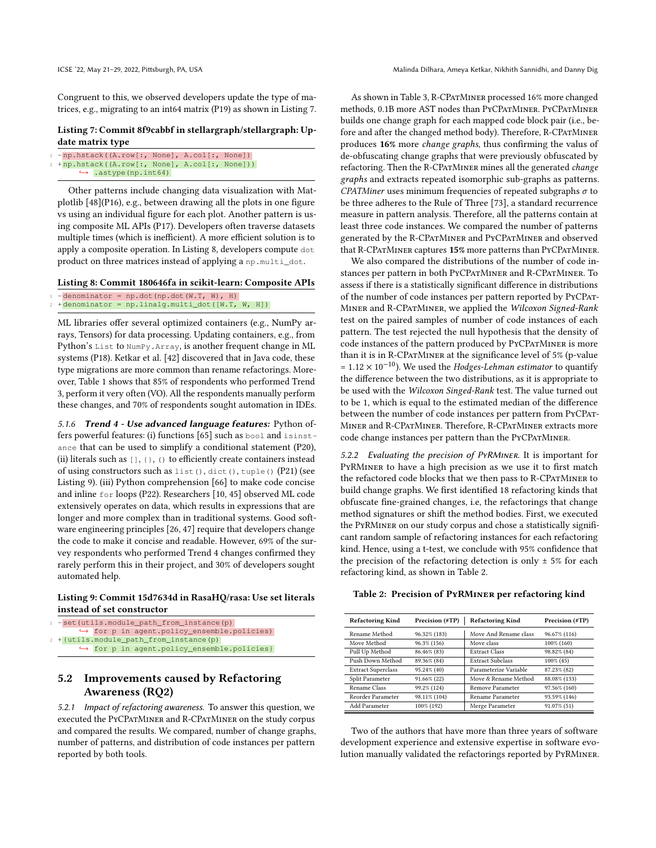Congruent to this, we observed developers update the type of matrices, e.g., migrating to an int64 matrix (P19) as shown in Listing [7.](#page-7-0)

#### <span id="page-7-0"></span>Listing 7: Commit 8f9cabbf in stellargraph/stellargraph: Update matrix type

```
-np.hstack((A.row[:, None], A.col[:, None])
2 +np.hstack((A.row[:, None], A.col[:, None]))
      ↩→ .astype(np.int64)
```
Other patterns include changing data visualization with Matplotlib [\[48\]](#page-12-28)(P16), e.g., between drawing all the plots in one figure vs using an individual figure for each plot. Another pattern is using composite ML APIs (P17). Developers often traverse datasets multiple times (which is inefficient). A more efficient solution is to apply a composite operation. In Listing [8,](#page-7-1) developers compute dot product on three matrices instead of applying a np.multi\_dot.

<span id="page-7-1"></span>Listing 8: Commit 180646fa in scikit-learn: Composite APIs

```
-\text{denominator} = \text{np.dot(np.dot}(W.T, W), H)+ denominator = np.linalg.multi_dot([W.T, W, H])
```
ML libraries offer several optimized containers (e.g., NumPy arrays, Tensors) for data processing. Updating containers, e.g., from Python's List to NumPy.Array, is another frequent change in ML systems (P18). Ketkar et al. [\[42\]](#page-11-17) discovered that in Java code, these type migrations are more common than rename refactorings. Moreover, Table [1](#page-6-0) shows that 85% of respondents who performed Trend 3, perform it very often (VO). All the respondents manually perform these changes, and 70% of respondents sought automation in IDEs.

5.1.6 Trend 4 - Use advanced language features: Python offers powerful features: (i) functions [\[65\]](#page-12-29) such as bool and isinstance that can be used to simplify a conditional statement (P20), (ii) literals such as  $[$ ],  $\{$ },  $()$  to efficiently create containers instead of using constructors such as list(), dict(), tuple() (P21) (see Listing [9\)](#page-7-2). (iii) Python comprehension [\[66\]](#page-12-30) to make code concise and inline for loops (P22). Researchers [\[10,](#page-11-24) [45\]](#page-12-31) observed ML code extensively operates on data, which results in expressions that are longer and more complex than in traditional systems. Good software engineering principles [\[26,](#page-11-34) [47\]](#page-12-32) require that developers change the code to make it concise and readable. However, 69% of the survey respondents who performed Trend 4 changes confirmed they rarely perform this in their project, and 30% of developers sought automated help.

# <span id="page-7-2"></span>Listing 9: Commit 15d7634d in RasaHQ/rasa: Use set literals instead of set constructor

```
-set(utils.module path from instance(p)
           → for p in agent.policy_ensemble.policies)
2 + \{ \text{utils.module\_path\_from\_instance(p)} \rightarrow \text{ for } p \text{ in agent.policy\_ensemble.pollices} \}
```
# 5.2 Improvements caused by Refactoring Awareness (RQ2)

5.2.1 Impact of refactoring awareness. To answer this question, we executed the PyCPatMiner and R-CPatMiner on the study corpus and compared the results. We compared, number of change graphs, number of patterns, and distribution of code instances per pattern reported by both tools.

As shown in Table [3,](#page-8-0) R-CPatMiner processed 16% more changed methods, 0.1B more AST nodes than PyCPatMiner. PyCPatMiner builds one change graph for each mapped code block pair (i.e., before and after the changed method body). Therefore, R-CPATMINER produces 16% more change graphs, thus confirming the valus of de-obfuscating change graphs that were previously obfuscated by refactoring. Then the R-CPATMINER mines all the generated change graphs and extracts repeated isomorphic sub-graphs as patterns. CPATMiner uses minimum frequencies of repeated subgraphs  $\sigma$  to be three adheres to the Rule of Three [\[73\]](#page-12-33), a standard recurrence measure in pattern analysis. Therefore, all the patterns contain at least three code instances. We compared the number of patterns generated by the R-CPatMiner and PyCPatMiner and observed that R-CPATMINER captures 15% more patterns than PYCPATMINER.

We also compared the distributions of the number of code instances per pattern in both PyCPatMiner and R-CPatMiner. To assess if there is a statistically significant difference in distributions of the number of code instances per pattern reported by PyCPat-Miner and R-CPatMiner, we applied the Wilcoxon Signed-Rank test on the paired samples of number of code instances of each pattern. The test rejected the null hypothesis that the density of code instances of the pattern produced by PYCPATMINER is more than it is in R-CPatMiner at the significance level of 5% (p-value  $= 1.12 \times 10^{-10}$ ). We used the Hodges-Lehman estimator to quantify the difference between the two distributions, as it is appropriate to be used with the Wilcoxon Singed-Rank test. The value turned out to be 1, which is equal to the estimated median of the difference between the number of code instances per pattern from PyCPat-Miner and R-CPatMiner. Therefore, R-CPatMiner extracts more code change instances per pattern than the PYCPATMINER.

5.2.2 Evaluating the precision of PyRMiner. It is important for PyRMiner to have a high precision as we use it to first match the refactored code blocks that we then pass to R-CPatMiner to build change graphs. We first identified 18 refactoring kinds that obfuscate fine-grained changes, i.e, the refactorings that change method signatures or shift the method bodies. First, we executed the PyRMiner on our study corpus and chose a statistically significant random sample of refactoring instances for each refactoring kind. Hence, using a t-test, we conclude with 95% confidence that the precision of the refactoring detection is only  $\pm$  5% for each refactoring kind, as shown in Table [2.](#page-7-3)

<span id="page-7-3"></span>

|  | Table 2: Precision of PYRMINER per refactoring kind |  |
|--|-----------------------------------------------------|--|
|  |                                                     |  |

| <b>Refactoring Kind</b>   | Precision (#TP) | <b>Refactoring Kind</b> | Precision (#TP) |
|---------------------------|-----------------|-------------------------|-----------------|
| Rename Method             | 96.32% (183)    | Move And Rename class   | 96.67% (116)    |
| Move Method               | 96.3% (156)     | Move class              | 100% (160)      |
| Pull Up Method            | 86.46% (83)     | <b>Extract Class</b>    | 98.82% (84)     |
| Push Down Method          | 89.36% (84)     | <b>Extract Subclass</b> | $100\%$ (45)    |
| <b>Extract Superclass</b> | 95.24% (40)     | Parameterize Variable   | 87.23% (82)     |
| Split Parameter           | 91.66% (22)     | Move & Rename Method    | 88.08% (133)    |
| Rename Class              | 99.2% (124)     | Remove Parameter        | 97.56% (160)    |
| Reorder Parameter         | 98.11% (104)    | Rename Parameter        | 93.59% (146)    |
| Add Parameter             | 100% (192)      | Merge Parameter         | 91.07% (51)     |

Two of the authors that have more than three years of software development experience and extensive expertise in software evolution manually validated the refactorings reported by PyRMiner.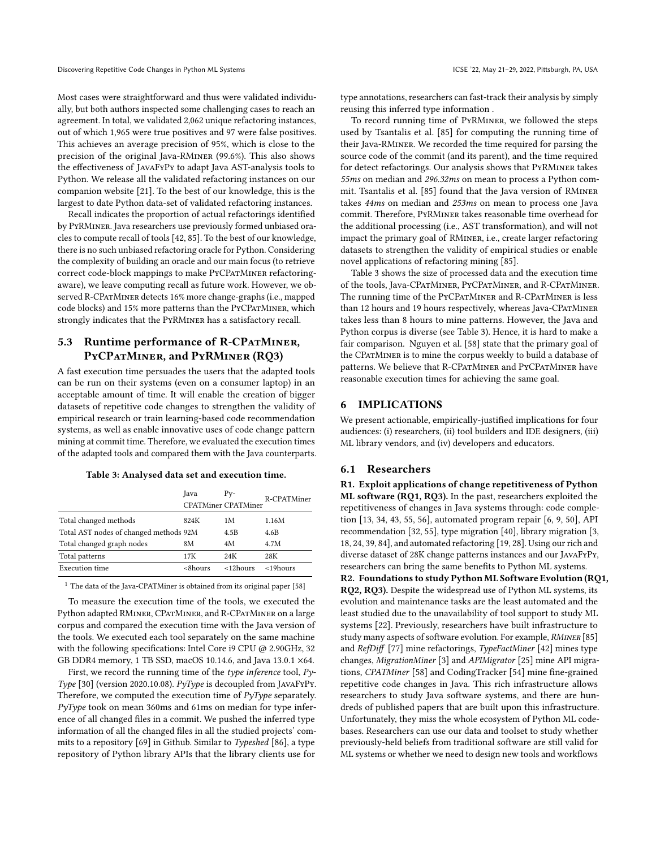Discovering Repetitive Code Changes in Python ML Systems ICSE '22, May 21-29, 2022, Pittsburgh, PA, USA

Most cases were straightforward and thus were validated individually, but both authors inspected some challenging cases to reach an agreement. In total, we validated 2,062 unique refactoring instances, out of which 1,965 were true positives and 97 were false positives. This achieves an average precision of 95%, which is close to the precision of the original Java-RMiner (99.6%). This also shows the effectiveness of JavaFyPy to adapt Java AST-analysis tools to Python. We release all the validated refactoring instances on our companion website [\[21\]](#page-11-28). To the best of our knowledge, this is the largest to date Python data-set of validated refactoring instances.

Recall indicates the proportion of actual refactorings identified by PyRMiner. Java researchers use previously formed unbiased oracles to compute recall of tools [\[42,](#page-11-17) [85\]](#page-12-11). To the best of our knowledge, there is no such unbiased refactoring oracle for Python. Considering the complexity of building an oracle and our main focus (to retrieve correct code-block mappings to make PYCPATMINER refactoringaware), we leave computing recall as future work. However, we observed R-CPATMINER detects 16% more change-graphs (i.e., mapped code blocks) and 15% more patterns than the PYCPATMINER, which strongly indicates that the PyRMiner has a satisfactory recall.

# 5.3 Runtime performance of R-CPATMINER, PyCPatMiner, and PyRMiner (RQ3)

A fast execution time persuades the users that the adapted tools can be run on their systems (even on a consumer laptop) in an acceptable amount of time. It will enable the creation of bigger datasets of repetitive code changes to strengthen the validity of empirical research or train learning-based code recommendation systems, as well as enable innovative uses of code change pattern mining at commit time. Therefore, we evaluated the execution times of the adapted tools and compared them with the Java counterparts.

#### Table 3: Analysed data set and execution time.

<span id="page-8-0"></span>

|                                        | Java    | $P_{V^-}$                  | R-CPATMiner     |
|----------------------------------------|---------|----------------------------|-----------------|
|                                        |         | <b>CPATMiner CPATMiner</b> |                 |
| Total changed methods                  | 824K    | 1 M                        | 1.16M           |
| Total AST nodes of changed methods 92M |         | 4.5B                       | 4.6B            |
| Total changed graph nodes              | 8М      | 4M                         | 4.7M            |
| Total patterns                         | 17K     | 24K                        | 28K             |
| Execution time                         | <8hours | $<$ 12 $h$ ours            | $<$ 19 $h$ ours |

<sup>1</sup> The data of the Java-CPATMiner is obtained from its original paper [\[58\]](#page-12-9)

To measure the execution time of the tools, we executed the Python adapted RMiner, CPatMiner, and R-CPatMiner on a large corpus and compared the execution time with the Java version of the tools. We executed each tool separately on the same machine with the following specifications: Intel Core i9 CPU @ 2.90GHz, 32 GB DDR4 memory, 1 TB SSD, macOS 10.14.6, and Java 13.0.1 ×64.

First, we record the running time of the type inference tool, Py-Type [\[30\]](#page-11-29) (version 2020.10.08). PyType is decoupled from JavaFyPy. Therefore, we computed the execution time of PyType separately. PyType took on mean 360ms and 61ms on median for type inference of all changed files in a commit. We pushed the inferred type information of all the changed files in all the studied projects' commits to a repository [\[69\]](#page-12-34) in Github. Similar to Typeshed [\[86\]](#page-12-35), a type repository of Python library APIs that the library clients use for

type annotations, researchers can fast-track their analysis by simply reusing this inferred type information .

To record running time of PyRMiner, we followed the steps used by Tsantalis et al. [\[85\]](#page-12-11) for computing the running time of their Java-RMiner. We recorded the time required for parsing the source code of the commit (and its parent), and the time required for detect refactorings. Our analysis shows that PyRMiner takes 55ms on median and 296.32ms on mean to process a Python commit. Tsantalis et al. [\[85\]](#page-12-11) found that the Java version of RMiner takes 44ms on median and 253ms on mean to process one Java commit. Therefore, PyRMiner takes reasonable time overhead for the additional processing (i.e., AST transformation), and will not impact the primary goal of RMiner, i.e., create larger refactoring datasets to strengthen the validity of empirical studies or enable novel applications of refactoring mining [\[85\]](#page-12-11).

Table [3](#page-8-0) shows the size of processed data and the execution time of the tools, Java-CPatMiner, PyCPatMiner, and R-CPatMiner. The running time of the PYCPATMINER and R-CPATMINER is less than 12 hours and 19 hours respectively, whereas Java-CPATMINER takes less than 8 hours to mine patterns. However, the Java and Python corpus is diverse (see Table [3\)](#page-8-0). Hence, it is hard to make a fair comparison. Nguyen et al. [\[58\]](#page-12-9) state that the primary goal of the CPatMiner is to mine the corpus weekly to build a database of patterns. We believe that R-CPatMiner and PyCPatMiner have reasonable execution times for achieving the same goal.

#### 6 IMPLICATIONS

We present actionable, empirically-justified implications for four audiences: (i) researchers, (ii) tool builders and IDE designers, (iii) ML library vendors, and (iv) developers and educators.

## 6.1 Researchers

R1. Exploit applications of change repetitiveness of Python ML software (RQ1, RQ3). In the past, researchers exploited the repetitiveness of changes in Java systems through: code completion [\[13,](#page-11-3) [34,](#page-11-4) [43,](#page-11-5) [55,](#page-12-4) [56\]](#page-12-5), automated program repair [\[6,](#page-11-6) [9,](#page-11-7) [50\]](#page-12-6), API recommendation [\[32,](#page-11-8) [55\]](#page-12-4), type migration [\[40\]](#page-11-9), library migration [\[3,](#page-11-10) [18,](#page-11-11) [24,](#page-11-12) [39,](#page-11-13) [84\]](#page-12-7), and automated refactoring [\[19,](#page-11-14) [28\]](#page-11-15). Using our rich and diverse dataset of 28K change patterns instances and our JavaFyPy, researchers can bring the same benefits to Python ML systems. R2. Foundations to study Python ML Software Evolution (RQ1, RQ2, RQ3). Despite the widespread use of Python ML systems, its evolution and maintenance tasks are the least automated and the least studied due to the unavailability of tool support to study ML systems [\[22\]](#page-11-19). Previously, researchers have built infrastructure to study many aspects of software evolution. For example, RMINER [\[85\]](#page-12-11) and RefDiff [\[77\]](#page-12-10) mine refactorings, TypeFactMiner [\[42\]](#page-11-17) mines type changes, MigrationMiner [\[3\]](#page-11-10) and APIMigrator [\[25\]](#page-11-16) mine API migrations, CPATMiner [\[58\]](#page-12-9) and CodingTracker [\[54\]](#page-12-8) mine fine-grained repetitive code changes in Java. This rich infrastructure allows researchers to study Java software systems, and there are hundreds of published papers that are built upon this infrastructure. Unfortunately, they miss the whole ecosystem of Python ML codebases. Researchers can use our data and toolset to study whether previously-held beliefs from traditional software are still valid for ML systems or whether we need to design new tools and workflows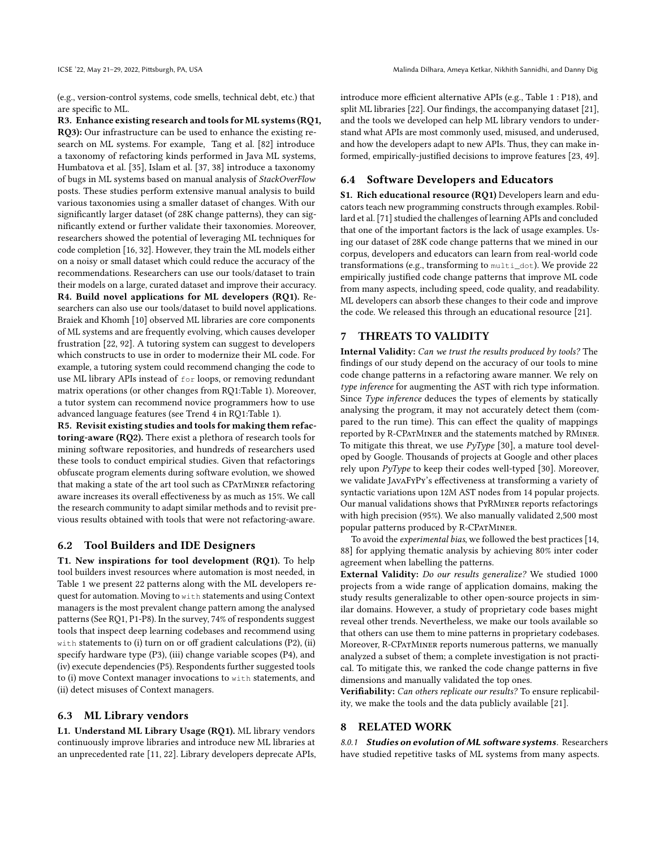(e.g., version-control systems, code smells, technical debt, etc.) that are specific to ML.

R3. Enhance existing research and tools for ML systems (RQ1, RQ3): Our infrastructure can be used to enhance the existing research on ML systems. For example, Tang et al. [\[82\]](#page-12-15) introduce a taxonomy of refactoring kinds performed in Java ML systems, Humbatova et al. [\[35\]](#page-11-21), Islam et al. [\[37,](#page-11-20) [38\]](#page-11-22) introduce a taxonomy of bugs in ML systems based on manual analysis of StackOverFlow posts. These studies perform extensive manual analysis to build various taxonomies using a smaller dataset of changes. With our significantly larger dataset (of 28K change patterns), they can significantly extend or further validate their taxonomies. Moreover, researchers showed the potential of leveraging ML techniques for code completion [\[16,](#page-11-35) [32\]](#page-11-8). However, they train the ML models either on a noisy or small dataset which could reduce the accuracy of the recommendations. Researchers can use our tools/dataset to train their models on a large, curated dataset and improve their accuracy. R4. Build novel applications for ML developers (RQ1). Researchers can also use our tools/dataset to build novel applications. Braiek and Khomh [\[10\]](#page-11-24) observed ML libraries are core components of ML systems and are frequently evolving, which causes developer frustration [\[22,](#page-11-19) [92\]](#page-12-36). A tutoring system can suggest to developers which constructs to use in order to modernize their ML code. For example, a tutoring system could recommend changing the code to use ML library APIs instead of for loops, or removing redundant matrix operations (or other changes from RQ1:Table [1\)](#page-6-0). Moreover, a tutor system can recommend novice programmers how to use advanced language features (see Trend 4 in RQ1:Table [1\)](#page-6-0).

R5. Revisit existing studies and tools for making them refactoring-aware (RQ2). There exist a plethora of research tools for mining software repositories, and hundreds of researchers used these tools to conduct empirical studies. Given that refactorings obfuscate program elements during software evolution, we showed that making a state of the art tool such as CPATMINER refactoring aware increases its overall effectiveness by as much as 15%. We call the research community to adapt similar methods and to revisit previous results obtained with tools that were not refactoring-aware.

### 6.2 Tool Builders and IDE Designers

T1. New inspirations for tool development (RQ1). To help tool builders invest resources where automation is most needed, in Table [1](#page-6-0) we present 22 patterns along with the ML developers request for automation. Moving to with statements and using Context managers is the most prevalent change pattern among the analysed patterns (See RQ1, P1-P8). In the survey, 74% of respondents suggest tools that inspect deep learning codebases and recommend using with statements to (i) turn on or off gradient calculations (P2), (ii) specify hardware type (P3), (iii) change variable scopes (P4), and (iv) execute dependencies (P5). Respondents further suggested tools to (i) move Context manager invocations to with statements, and (ii) detect misuses of Context managers.

#### 6.3 ML Library vendors

L1. Understand ML Library Usage (RQ1). ML library vendors continuously improve libraries and introduce new ML libraries at an unprecedented rate [\[11,](#page-11-18) [22\]](#page-11-19). Library developers deprecate APIs, introduce more efficient alternative APIs (e.g., Table [1](#page-6-0) : P18), and split ML libraries [\[22\]](#page-11-19). Our findings, the accompanying dataset [\[21\]](#page-11-28), and the tools we developed can help ML library vendors to understand what APIs are most commonly used, misused, and underused, and how the developers adapt to new APIs. Thus, they can make informed, empirically-justified decisions to improve features [\[23,](#page-11-36) [49\]](#page-12-37).

# 6.4 Software Developers and Educators

S1. Rich educational resource (RQ1) Developers learn and educators teach new programming constructs through examples. Robillard et al. [\[71\]](#page-12-38) studied the challenges of learning APIs and concluded that one of the important factors is the lack of usage examples. Using our dataset of 28K code change patterns that we mined in our corpus, developers and educators can learn from real-world code transformations (e.g., transforming to multi\_dot). We provide 22 empirically justified code change patterns that improve ML code from many aspects, including speed, code quality, and readability. ML developers can absorb these changes to their code and improve the code. We released this through an educational resource [\[21\]](#page-11-28).

# 7 THREATS TO VALIDITY

Internal Validity: Can we trust the results produced by tools? The findings of our study depend on the accuracy of our tools to mine code change patterns in a refactoring aware manner. We rely on type inference for augmenting the AST with rich type information. Since Type inference deduces the types of elements by statically analysing the program, it may not accurately detect them (compared to the run time). This can effect the quality of mappings reported by R-CPATMINER and the statements matched by RMINER. To mitigate this threat, we use  $PvType$  [\[30\]](#page-11-29), a mature tool developed by Google. Thousands of projects at Google and other places rely upon  $PyType$  to keep their codes well-typed [\[30\]](#page-11-29). Moreover, we validate JavaFyPy's effectiveness at transforming a variety of syntactic variations upon 12M AST nodes from 14 popular projects. Our manual validations shows that PyRMiner reports refactorings with high precision (95%). We also manually validated 2,500 most popular patterns produced by R-CPatMiner.

To avoid the experimental bias, we followed the best practices [\[14,](#page-11-31) [88\]](#page-12-16) for applying thematic analysis by achieving 80% inter coder agreement when labelling the patterns.

External Validity: Do our results generalize? We studied 1000 projects from a wide range of application domains, making the study results generalizable to other open-source projects in similar domains. However, a study of proprietary code bases might reveal other trends. Nevertheless, we make our tools available so that others can use them to mine patterns in proprietary codebases. Moreover, R-CPatMiner reports numerous patterns, we manually analyzed a subset of them; a complete investigation is not practical. To mitigate this, we ranked the code change patterns in five dimensions and manually validated the top ones.

Verifiability: Can others replicate our results? To ensure replicability, we make the tools and the data publicly available [\[21\]](#page-11-28).

#### 8 RELATED WORK

8.0.1 Studies on evolution of ML software systems. Researchers have studied repetitive tasks of ML systems from many aspects.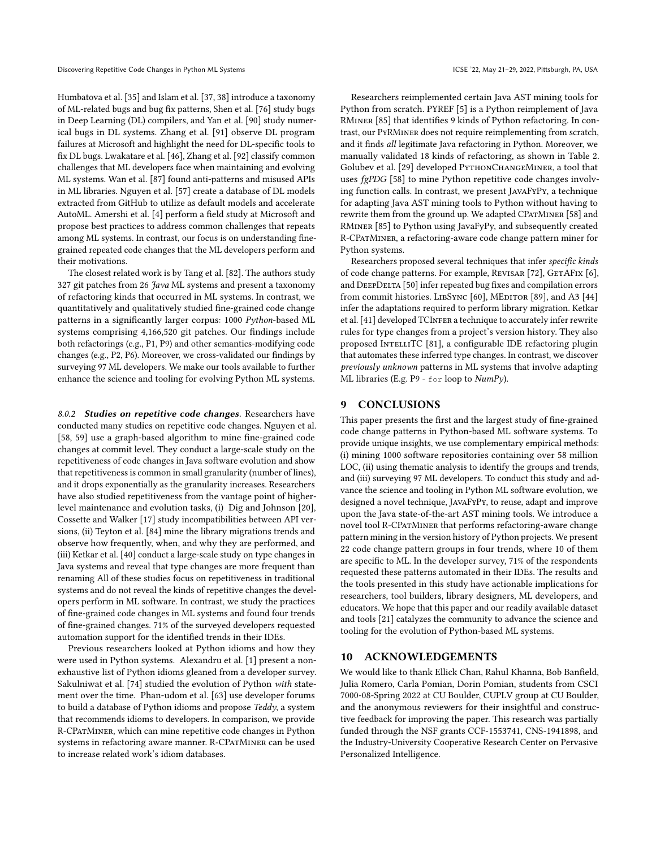Humbatova et al. [\[35\]](#page-11-21) and Islam et al. [\[37,](#page-11-20) [38\]](#page-11-22) introduce a taxonomy of ML-related bugs and bug fix patterns, Shen et al. [\[76\]](#page-12-39) study bugs in Deep Learning (DL) compilers, and Yan et al. [\[90\]](#page-12-40) study numerical bugs in DL systems. Zhang et al. [\[91\]](#page-12-13) observe DL program failures at Microsoft and highlight the need for DL-specific tools to fix DL bugs. Lwakatare et al. [\[46\]](#page-12-41), Zhang et al. [\[92\]](#page-12-36) classify common challenges that ML developers face when maintaining and evolving ML systems. Wan et al. [\[87\]](#page-12-42) found anti-patterns and misused APIs in ML libraries. Nguyen et al. [\[57\]](#page-12-43) create a database of DL models extracted from GitHub to utilize as default models and accelerate AutoML. Amershi et al. [\[4\]](#page-11-37) perform a field study at Microsoft and propose best practices to address common challenges that repeats among ML systems. In contrast, our focus is on understanding finegrained repeated code changes that the ML developers perform and their motivations.

The closest related work is by Tang et al. [\[82\]](#page-12-15). The authors study 327 git patches from 26 Java ML systems and present a taxonomy of refactoring kinds that occurred in ML systems. In contrast, we quantitatively and qualitatively studied fine-grained code change patterns in a significantly larger corpus: 1000 Python-based ML systems comprising 4,166,520 git patches. Our findings include both refactorings (e.g., P1, P9) and other semantics-modifying code changes (e.g., P2, P6). Moreover, we cross-validated our findings by surveying 97 ML developers. We make our tools available to further enhance the science and tooling for evolving Python ML systems.

8.0.2 Studies on repetitive code changes. Researchers have conducted many studies on repetitive code changes. Nguyen et al. [\[58,](#page-12-9) [59\]](#page-12-18) use a graph-based algorithm to mine fine-grained code changes at commit level. They conduct a large-scale study on the repetitiveness of code changes in Java software evolution and show that repetitiveness is common in small granularity (number of lines), and it drops exponentially as the granularity increases. Researchers have also studied repetitiveness from the vantage point of higherlevel maintenance and evolution tasks, (i) Dig and Johnson [\[20\]](#page-11-38), Cossette and Walker [\[17\]](#page-11-39) study incompatibilities between API versions, (ii) Teyton et al. [\[84\]](#page-12-7) mine the library migrations trends and observe how frequently, when, and why they are performed, and (iii) Ketkar et al. [\[40\]](#page-11-9) conduct a large-scale study on type changes in Java systems and reveal that type changes are more frequent than renaming All of these studies focus on repetitiveness in traditional systems and do not reveal the kinds of repetitive changes the developers perform in ML software. In contrast, we study the practices of fine-grained code changes in ML systems and found four trends of fine-grained changes. 71% of the surveyed developers requested automation support for the identified trends in their IDEs.

Previous researchers looked at Python idioms and how they were used in Python systems. Alexandru et al. [\[1\]](#page-11-32) present a nonexhaustive list of Python idioms gleaned from a developer survey. Sakulniwat et al. [\[74\]](#page-12-26) studied the evolution of Python with statement over the time. Phan-udom et al. [\[63\]](#page-12-44) use developer forums to build a database of Python idioms and propose Teddy, a system that recommends idioms to developers. In comparison, we provide R-CPatMiner, which can mine repetitive code changes in Python systems in refactoring aware manner. R-CPATMINER can be used to increase related work's idiom databases.

Researchers reimplemented certain Java AST mining tools for Python from scratch. PYREF [\[5\]](#page-11-40) is a Python reimplement of Java RMiner [\[85\]](#page-12-11) that identifies 9 kinds of Python refactoring. In contrast, our PyRMiner does not require reimplementing from scratch, and it finds all legitimate Java refactoring in Python. Moreover, we manually validated 18 kinds of refactoring, as shown in Table [2.](#page-7-3) Golubev et al. [\[29\]](#page-11-41) developed PYTHONCHANGEMINER, a tool that uses fgPDG [\[58\]](#page-12-9) to mine Python repetitive code changes involving function calls. In contrast, we present JavaFyPy, a technique for adapting Java AST mining tools to Python without having to rewrite them from the ground up. We adapted CPATMINER [\[58\]](#page-12-9) and RMiner [\[85\]](#page-12-11) to Python using JavaFyPy, and subsequently created R-CPatMiner, a refactoring-aware code change pattern miner for Python systems.

Researchers proposed several techniques that infer specific kinds of code change patterns. For example, REVISAR [\[72\]](#page-12-45), GETAFIX [\[6\]](#page-11-6), and DEEPDELTA [\[50\]](#page-12-6) infer repeated bug fixes and compilation errors from commit histories. LIBSYNC [\[60\]](#page-12-46), MEDITOR [\[89\]](#page-12-47), and A3 [\[44\]](#page-12-48) infer the adaptations required to perform library migration. Ketkar et al. [\[41\]](#page-11-42) developed TCINFER a technique to accurately infer rewrite rules for type changes from a project's version history. They also proposed INTELLITC [\[81\]](#page-12-49), a configurable IDE refactoring plugin that automates these inferred type changes. In contrast, we discover previously unknown patterns in ML systems that involve adapting ML libraries (E.g. P9 - for loop to NumPy).

#### 9 CONCLUSIONS

This paper presents the first and the largest study of fine-grained code change patterns in Python-based ML software systems. To provide unique insights, we use complementary empirical methods: (i) mining 1000 software repositories containing over 58 million LOC, (ii) using thematic analysis to identify the groups and trends, and (iii) surveying 97 ML developers. To conduct this study and advance the science and tooling in Python ML software evolution, we designed a novel technique, JavaFyPy, to reuse, adapt and improve upon the Java state-of-the-art AST mining tools. We introduce a novel tool R-CPatMiner that performs refactoring-aware change pattern mining in the version history of Python projects. We present 22 code change pattern groups in four trends, where 10 of them are specific to ML. In the developer survey, 71% of the respondents requested these patterns automated in their IDEs. The results and the tools presented in this study have actionable implications for researchers, tool builders, library designers, ML developers, and educators. We hope that this paper and our readily available dataset and tools [\[21\]](#page-11-28) catalyzes the community to advance the science and tooling for the evolution of Python-based ML systems.

#### 10 ACKNOWLEDGEMENTS

We would like to thank Ellick Chan, Rahul Khanna, Bob Banfield, Julia Romero, Carla Pomian, Dorin Pomian, students from CSCI 7000-08-Spring 2022 at CU Boulder, CUPLV group at CU Boulder, and the anonymous reviewers for their insightful and constructive feedback for improving the paper. This research was partially funded through the NSF grants CCF-1553741, CNS-1941898, and the Industry-University Cooperative Research Center on Pervasive Personalized Intelligence.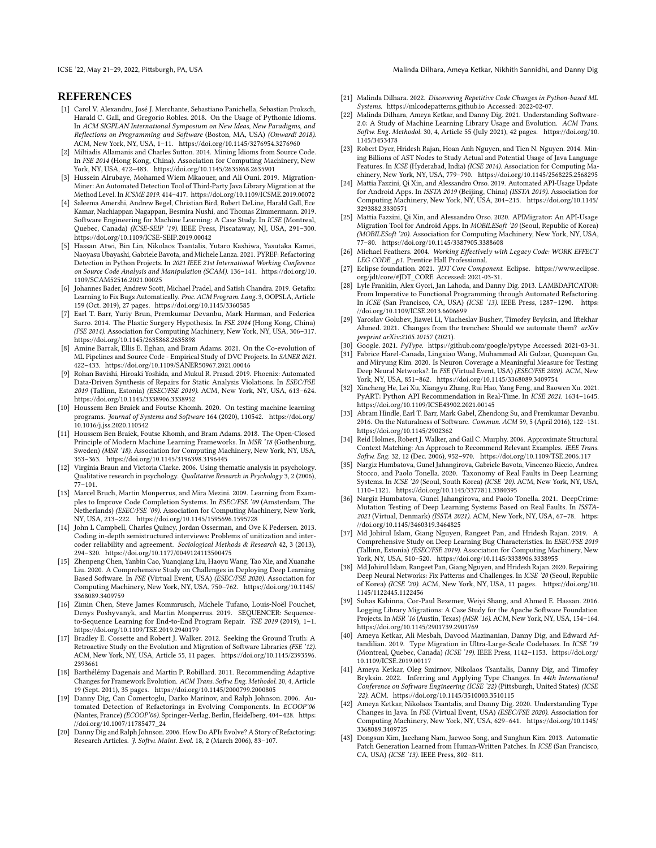ICSE '22, May 21–29, 2022, Pittsburgh, PA, USA Malinda Dilhara, Ameya Ketkar, Nikhith Sannidhi, and Danny Dig

# **REFERENCES**

- <span id="page-11-32"></span>[1] Carol V. Alexandru, José J. Merchante, Sebastiano Panichella, Sebastian Proksch, Harald C. Gall, and Gregorio Robles. 2018. On the Usage of Pythonic Idioms. In ACM SIGPLAN International Symposium on New Ideas, New Paradigms, and Reflections on Programming and Software (Boston, MA, USA) (Onward! 2018). ACM, New York, NY, USA, 1–11.<https://doi.org/10.1145/3276954.3276960>
- <span id="page-11-2"></span>[2] Miltiadis Allamanis and Charles Sutton. 2014. Mining Idioms from Source Code. In FSE 2014 (Hong Kong, China). Association for Computing Machinery, New York, NY, USA, 472–483.<https://doi.org/10.1145/2635868.2635901>
- <span id="page-11-10"></span>[3] Hussein Alrubaye, Mohamed Wiem Mkaouer, and Ali Ouni. 2019. Migration-Miner: An Automated Detection Tool of Third-Party Java Library Migration at the Method Level. In ICSME 2019. 414–417.<https://doi.org/10.1109/ICSME.2019.00072>
- <span id="page-11-37"></span>[4] Saleema Amershi, Andrew Begel, Christian Bird, Robert DeLine, Harald Gall, Ece Kamar, Nachiappan Nagappan, Besmira Nushi, and Thomas Zimmermann. 2019. Software Engineering for Machine Learning: A Case Study. In ICSE (Montreal, Quebec, Canada) (ICSE-SEIP '19). IEEE Press, Piscataway, NJ, USA, 291–300. <https://doi.org/10.1109/ICSE-SEIP.2019.00042>
- <span id="page-11-40"></span>[5] Hassan Atwi, Bin Lin, Nikolaos Tsantalis, Yutaro Kashiwa, Yasutaka Kamei, Naoyasu Ubayashi, Gabriele Bavota, and Michele Lanza. 2021. PYREF: Refactoring Detection in Python Projects. In 2021 IEEE 21st International Working Conference on Source Code Analysis and Manipulation (SCAM). 136–141. [https://doi.org/10.](https://doi.org/10.1109/SCAM52516.2021.00025) [1109/SCAM52516.2021.00025](https://doi.org/10.1109/SCAM52516.2021.00025)
- <span id="page-11-6"></span>[6] Johannes Bader, Andrew Scott, Michael Pradel, and Satish Chandra. 2019. Getafix: Learning to Fix Bugs Automatically. Proc. ACM Program. Lang. 3, OOPSLA, Article 159 (Oct. 2019), 27 pages.<https://doi.org/10.1145/3360585>
- <span id="page-11-0"></span>[7] Earl T. Barr, Yuriy Brun, Premkumar Devanbu, Mark Harman, and Federica Sarro. 2014. The Plastic Surgery Hypothesis. In FSE 2014 (Hong Kong, China) (FSE 2014). Association for Computing Machinery, New York, NY, USA, 306–317. <https://doi.org/10.1145/2635868.2635898>
- <span id="page-11-23"></span>[8] Amine Barrak, Ellis E. Eghan, and Bram Adams. 2021. On the Co-evolution of ML Pipelines and Source Code - Empirical Study of DVC Projects. In SANER 2021. 422–433.<https://doi.org/10.1109/SANER50967.2021.00046>
- <span id="page-11-7"></span>[9] Rohan Bavishi, Hiroaki Yoshida, and Mukul R. Prasad. 2019. Phoenix: Automated Data-Driven Synthesis of Repairs for Static Analysis Violations. In ESEC/FSE 2019 (Tallinn, Estonia) (ESEC/FSE 2019). ACM, New York, NY, USA, 613–624. <https://doi.org/10.1145/3338906.3338952>
- <span id="page-11-24"></span>[10] Houssem Ben Braiek and Foutse Khomh. 2020. On testing machine learning programs. Journal of Systems and Software 164 (2020), 110542. [https://doi.org/](https://doi.org/10.1016/j.jss.2020.110542) [10.1016/j.jss.2020.110542](https://doi.org/10.1016/j.jss.2020.110542)
- <span id="page-11-18"></span>[11] Houssem Ben Braiek, Foutse Khomh, and Bram Adams. 2018. The Open-Closed Principle of Modern Machine Learning Frameworks. In MSR '18 (Gothenburg, Sweden) (MSR '18). Association for Computing Machinery, New York, NY, USA, 353–363.<https://doi.org/10.1145/3196398.3196445>
- <span id="page-11-27"></span>[12] Virginia Braun and Victoria Clarke. 2006. Using thematic analysis in psychology. Qualitative research in psychology. Qualitative Research in Psychology 3, 2 (2006), 77–101.
- <span id="page-11-3"></span>[13] Marcel Bruch, Martin Monperrus, and Mira Mezini. 2009. Learning from Examples to Improve Code Completion Systems. In ESEC/FSE '09 (Amsterdam, The Netherlands) (ESEC/FSE '09). Association for Computing Machinery, New York, NY, USA, 213–222.<https://doi.org/10.1145/1595696.1595728>
- <span id="page-11-31"></span>[14] John L Campbell, Charles Quincy, Jordan Osserman, and Ove K Pedersen. 2013. Coding in-depth semistructured interviews: Problems of unitization and intercoder reliability and agreement. Sociological Methods & Research 42, 3 (2013), 294–320.<https://doi.org/10.1177/0049124113500475>
- <span id="page-11-33"></span>[15] Zhenpeng Chen, Yanbin Cao, Yuanqiang Liu, Haoyu Wang, Tao Xie, and Xuanzhe Liu. 2020. A Comprehensive Study on Challenges in Deploying Deep Learning Based Software. In FSE (Virtual Event, USA) (ESEC/FSE 2020). Association for Computing Machinery, New York, NY, USA, 750–762. [https://doi.org/10.1145/](https://doi.org/10.1145/3368089.3409759) [3368089.3409759](https://doi.org/10.1145/3368089.3409759)
- <span id="page-11-35"></span>[16] Zimin Chen, Steve James Kommrusch, Michele Tufano, Louis-Noël Pouchet, Denys Poshyvanyk, and Martin Monperrus. 2019. SEQUENCER: Sequenceto-Sequence Learning for End-to-End Program Repair. TSE 2019 (2019), 1–1. <https://doi.org/10.1109/TSE.2019.2940179>
- <span id="page-11-39"></span>[17] Bradley E. Cossette and Robert J. Walker. 2012. Seeking the Ground Truth: A Retroactive Study on the Evolution and Migration of Software Libraries (FSE '12). ACM, New York, NY, USA, Article 55, 11 pages. [https://doi.org/10.1145/2393596.](https://doi.org/10.1145/2393596.2393661) [2393661](https://doi.org/10.1145/2393596.2393661)
- <span id="page-11-11"></span>[18] Barthélémy Dagenais and Martin P. Robillard. 2011. Recommending Adaptive Changes for Framework Evolution. ACM Trans. Softw. Eng. Methodol. 20, 4, Article 19 (Sept. 2011), 35 pages.<https://doi.org/10.1145/2000799.2000805>
- <span id="page-11-14"></span>[19] Danny Dig, Can Comertoglu, Darko Marinov, and Ralph Johnson. 2006. Automated Detection of Refactorings in Evolving Components. In ECOOP'06 (Nantes, France) (ECOOP'06). Springer-Verlag, Berlin, Heidelberg, 404–428. [https:](https://doi.org/10.1007/11785477_24) [//doi.org/10.1007/11785477\\_24](https://doi.org/10.1007/11785477_24)
- <span id="page-11-38"></span>[20] Danny Dig and Ralph Johnson. 2006. How Do APIs Evolve? A Story of Refactoring: Research Articles. J. Softw. Maint. Evol. 18, 2 (March 2006), 83–107.
- <span id="page-11-28"></span>[21] Malinda Dilhara. 2022. Discovering Repetitive Code Changes in Python-based ML Systems.<https://mlcodepatterns.github.io> Accessed: 2022-02-07.
- <span id="page-11-19"></span>[22] Malinda Dilhara, Ameya Ketkar, and Danny Dig. 2021. Understanding Software-2.0: A Study of Machine Learning Library Usage and Evolution. ACM Trans. Softw. Eng. Methodol. 30, 4, Article 55 (July 2021), 42 pages. [https://doi.org/10.](https://doi.org/10.1145/3453478) [1145/3453478](https://doi.org/10.1145/3453478)
- <span id="page-11-36"></span>[23] Robert Dyer, Hridesh Rajan, Hoan Anh Nguyen, and Tien N. Nguyen. 2014. Mining Billions of AST Nodes to Study Actual and Potential Usage of Java Language Features. In ICSE (Hyderabad, India) (ICSE 2014). Association for Computing Machinery, New York, NY, USA, 779–790.<https://doi.org/10.1145/2568225.2568295>
- <span id="page-11-12"></span>[24] Mattia Fazzini, Qi Xin, and Alessandro Orso. 2019. Automated API-Usage Update for Android Apps. In ISSTA 2019 (Beijing, China) (ISSTA 2019). Association for Computing Machinery, New York, NY, USA, 204–215. [https://doi.org/10.1145/](https://doi.org/10.1145/3293882.3330571) [3293882.3330571](https://doi.org/10.1145/3293882.3330571)
- <span id="page-11-16"></span>[25] Mattia Fazzini, Qi Xin, and Alessandro Orso. 2020. APIMigrator: An API-Usage Migration Tool for Android Apps. In MOBILESoft '20 (Seoul, Republic of Korea) (MOBILESoft '20). Association for Computing Machinery, New York, NY, USA, 77–80.<https://doi.org/10.1145/3387905.3388608>
- <span id="page-11-34"></span>[26] Michael Feathers. 2004. Working Effectively with Legacy Code: WORK EFFECT LEG CODE \_p1. Prentice Hall Professional.
- <span id="page-11-30"></span>[27] Eclipse foundation. 2021. JDT Core Component. Eclipse. [https://www.eclipse.](https://www.eclipse.org/jdt/core/#JDT_CORE) [org/jdt/core/#JDT\\_CORE](https://www.eclipse.org/jdt/core/#JDT_CORE) Accessed: 2021-03-31.
- <span id="page-11-15"></span>[28] Lyle Franklin, Alex Gyori, Jan Lahoda, and Danny Dig. 2013. LAMBDAFICATOR: From Imperative to Functional Programming through Automated Refactoring. In ICSE (San Francisco, CA, USA) (ICSE '13). IEEE Press, 1287–1290. [https:](https://doi.org/10.1109/ICSE.2013.6606699) [//doi.org/10.1109/ICSE.2013.6606699](https://doi.org/10.1109/ICSE.2013.6606699)
- <span id="page-11-41"></span>[29] Yaroslav Golubev, Jiawei Li, Viacheslav Bushev, Timofey Bryksin, and Iftekhar Ahmed. 2021. Changes from the trenches: Should we automate them? arXiv preprint arXiv:2105.10157 (2021).
- <span id="page-11-29"></span><span id="page-11-25"></span>[30] Google. 2021. PyType.<https://github.com/google/pytype> Accessed: 2021-03-31. [31] Fabrice Harel-Canada, Lingxiao Wang, Muhammad Ali Gulzar, Quanquan Gu,
- and Miryung Kim. 2020. Is Neuron Coverage a Meaningful Measure for Testing Deep Neural Networks?. In FSE (Virtual Event, USA) (ESEC/FSE 2020). ACM, New York, NY, USA, 851–862.<https://doi.org/10.1145/3368089.3409754>
- <span id="page-11-8"></span>[32] Xincheng He, Lei Xu, Xiangyu Zhang, Rui Hao, Yang Feng, and Baowen Xu. 2021. PyART: Python API Recommendation in Real-Time. In ICSE 2021. 1634–1645. <https://doi.org/10.1109/ICSE43902.2021.00145>
- <span id="page-11-1"></span>[33] Abram Hindle, Earl T. Barr, Mark Gabel, Zhendong Su, and Premkumar Devanbu. 2016. On the Naturalness of Software. Commun. ACM 59, 5 (April 2016), 122–131. <https://doi.org/10.1145/2902362>
- <span id="page-11-4"></span>[34] Reid Holmes, Robert J. Walker, and Gail C. Murphy. 2006. Approximate Structural Context Matching: An Approach to Recommend Relevant Examples. IEEE Trans. Softw. Eng. 32, 12 (Dec. 2006), 952–970.<https://doi.org/10.1109/TSE.2006.117>
- <span id="page-11-21"></span>[35] Nargiz Humbatova, Gunel Jahangirova, Gabriele Bavota, Vincenzo Riccio, Andrea Stocco, and Paolo Tonella. 2020. Taxonomy of Real Faults in Deep Learning Systems. In ICSE '20 (Seoul, South Korea) (ICSE '20). ACM, New York, NY, USA, 1110–1121.<https://doi.org/10.1145/3377811.3380395>
- <span id="page-11-26"></span>[36] Nargiz Humbatova, Gunel Jahangirova, and Paolo Tonella. 2021. DeepCrime: Mutation Testing of Deep Learning Systems Based on Real Faults. In ISSTA-2021 (Virtual, Denmark) (ISSTA 2021). ACM, New York, NY, USA, 67–78. [https:](https://doi.org/10.1145/3460319.3464825) [//doi.org/10.1145/3460319.3464825](https://doi.org/10.1145/3460319.3464825)
- <span id="page-11-20"></span>[37] Md Johirul Islam, Giang Nguyen, Rangeet Pan, and Hridesh Rajan. 2019. A Comprehensive Study on Deep Learning Bug Characteristics. In ESEC/FSE 2019 (Tallinn, Estonia) (ESEC/FSE 2019). Association for Computing Machinery, New York, NY, USA, 510–520.<https://doi.org/10.1145/3338906.3338955>
- <span id="page-11-22"></span>[38] Md Johirul Islam, Rangeet Pan, Giang Nguyen, and Hridesh Rajan. 2020. Repairing Deep Neural Networks: Fix Patterns and Challenges. In ICSE '20 (Seoul, Republic of Korea) (ICSE '20). ACM, New York, NY, USA, 11 pages. [https://doi.org/10.](https://doi.org/10.1145/1122445.1122456) [1145/1122445.1122456](https://doi.org/10.1145/1122445.1122456)
- <span id="page-11-13"></span>[39] Suhas Kabinna, Cor-Paul Bezemer, Weiyi Shang, and Ahmed E. Hassan. 2016. Logging Library Migrations: A Case Study for the Apache Software Foundation Projects. In MSR '16 (Austin, Texas) (MSR '16). ACM, New York, NY, USA, 154–164. <https://doi.org/10.1145/2901739.2901769>
- <span id="page-11-9"></span>[40] Ameya Ketkar, Ali Mesbah, Davood Mazinanian, Danny Dig, and Edward Aftandilian. 2019. Type Migration in Ultra-Large-Scale Codebases. In ICSE '19 (Montreal, Quebec, Canada) (ICSE '19). IEEE Press, 1142–1153. [https://doi.org/](https://doi.org/10.1109/ICSE.2019.00117) [10.1109/ICSE.2019.00117](https://doi.org/10.1109/ICSE.2019.00117)
- <span id="page-11-42"></span>[41] Ameya Ketkar, Oleg Smirnov, Nikolaos Tsantalis, Danny Dig, and Timofey Bryksin. 2022. Inferring and Applying Type Changes. In 44th International Conference on Software Engineering (ICSE '22) (Pittsburgh, United States) (ICSE '22). ACM.<https://doi.org/10.1145/3510003.3510115>
- <span id="page-11-17"></span>[42] Ameya Ketkar, Nikolaos Tsantalis, and Danny Dig. 2020. Understanding Type Changes in Java. In FSE (Virtual Event, USA) (ESEC/FSE 2020). Association for Computing Machinery, New York, NY, USA, 629–641. [https://doi.org/10.1145/](https://doi.org/10.1145/3368089.3409725) [3368089.3409725](https://doi.org/10.1145/3368089.3409725)
- <span id="page-11-5"></span>[43] Dongsun Kim, Jaechang Nam, Jaewoo Song, and Sunghun Kim. 2013. Automatic Patch Generation Learned from Human-Written Patches. In ICSE (San Francisco, CA, USA) (ICSE '13). IEEE Press, 802–811.